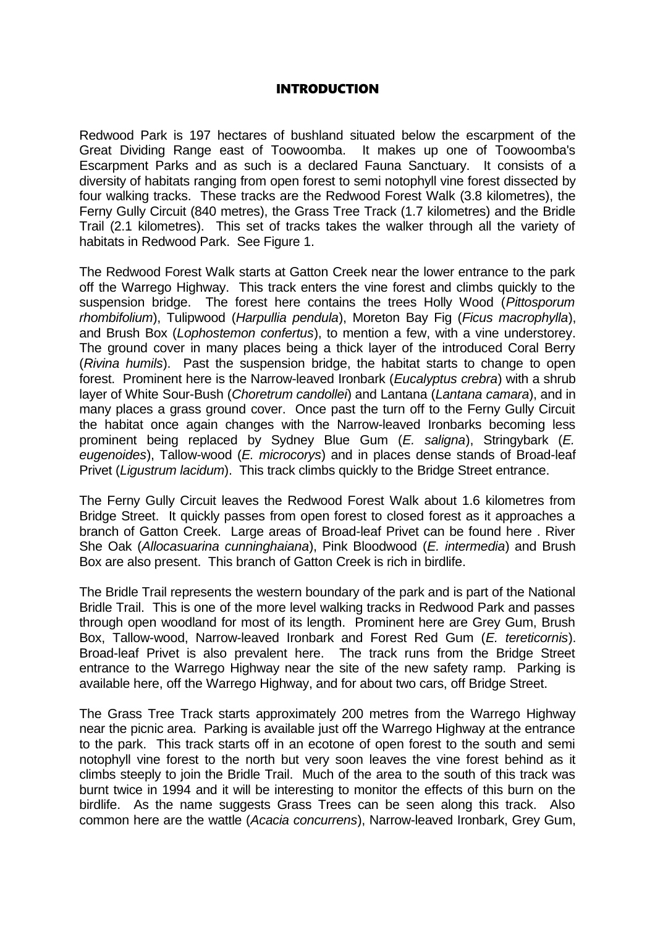#### INTRODUCTION

Redwood Park is 197 hectares of bushland situated below the escarpment of the Great Dividing Range east of Toowoomba. It makes up one of Toowoomba's Escarpment Parks and as such is a declared Fauna Sanctuary. It consists of a diversity of habitats ranging from open forest to semi notophyll vine forest dissected by four walking tracks. These tracks are the Redwood Forest Walk (3.8 kilometres), the Ferny Gully Circuit (840 metres), the Grass Tree Track (1.7 kilometres) and the Bridle Trail (2.1 kilometres). This set of tracks takes the walker through all the variety of habitats in Redwood Park. See Figure 1.

The Redwood Forest Walk starts at Gatton Creek near the lower entrance to the park off the Warrego Highway. This track enters the vine forest and climbs quickly to the suspension bridge. The forest here contains the trees Holly Wood (Pittosporum rhombifolium), Tulipwood (Harpullia pendula), Moreton Bay Fig (Ficus macrophylla), and Brush Box (Lophostemon confertus), to mention a few, with a vine understorey. The ground cover in many places being a thick layer of the introduced Coral Berry (Rivina humils). Past the suspension bridge, the habitat starts to change to open forest. Prominent here is the Narrow-leaved Ironbark (Eucalyptus crebra) with a shrub layer of White Sour-Bush (Choretrum candollei) and Lantana (Lantana camara), and in many places a grass ground cover. Once past the turn off to the Ferny Gully Circuit the habitat once again changes with the Narrow-leaved Ironbarks becoming less prominent being replaced by Sydney Blue Gum (E. saligna), Stringybark (E. eugenoides), Tallow-wood (*E. microcorys*) and in places dense stands of Broad-leaf Privet (Ligustrum lacidum). This track climbs quickly to the Bridge Street entrance.

The Ferny Gully Circuit leaves the Redwood Forest Walk about 1.6 kilometres from Bridge Street. It quickly passes from open forest to closed forest as it approaches a branch of Gatton Creek. Large areas of Broad-leaf Privet can be found here . River She Oak (Allocasuarina cunninghaiana), Pink Bloodwood (E. intermedia) and Brush Box are also present. This branch of Gatton Creek is rich in birdlife.

The Bridle Trail represents the western boundary of the park and is part of the National Bridle Trail. This is one of the more level walking tracks in Redwood Park and passes through open woodland for most of its length. Prominent here are Grey Gum, Brush Box, Tallow-wood, Narrow-leaved Ironbark and Forest Red Gum (E. tereticornis). Broad-leaf Privet is also prevalent here. The track runs from the Bridge Street entrance to the Warrego Highway near the site of the new safety ramp. Parking is available here, off the Warrego Highway, and for about two cars, off Bridge Street.

The Grass Tree Track starts approximately 200 metres from the Warrego Highway near the picnic area. Parking is available just off the Warrego Highway at the entrance to the park. This track starts off in an ecotone of open forest to the south and semi notophyll vine forest to the north but very soon leaves the vine forest behind as it climbs steeply to join the Bridle Trail. Much of the area to the south of this track was burnt twice in 1994 and it will be interesting to monitor the effects of this burn on the birdlife. As the name suggests Grass Trees can be seen along this track. Also common here are the wattle (Acacia concurrens), Narrow-leaved Ironbark, Grey Gum,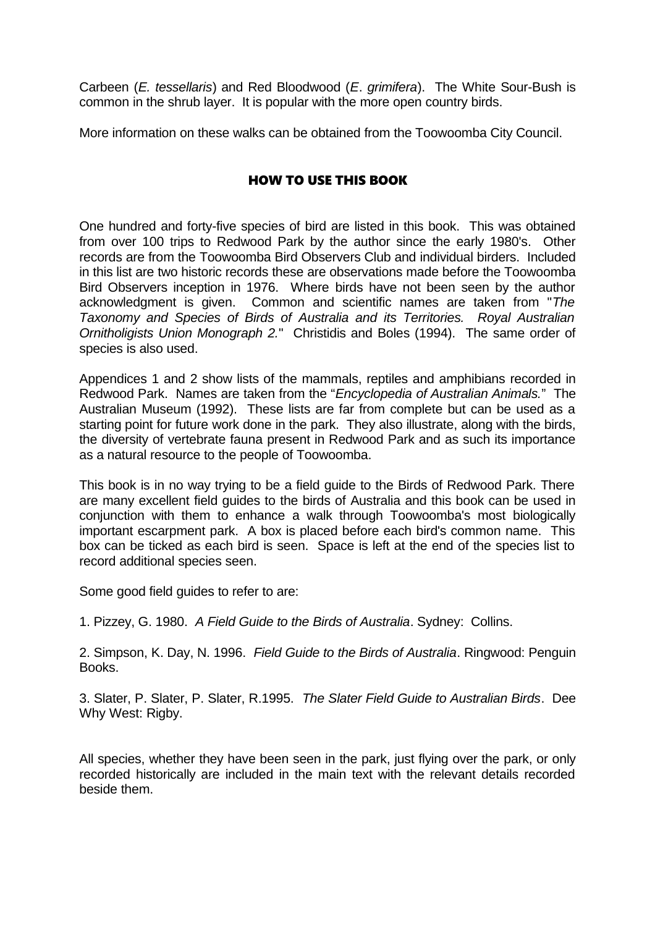Carbeen (E. tessellaris) and Red Bloodwood (E. grimifera). The White Sour-Bush is common in the shrub layer. It is popular with the more open country birds.

More information on these walks can be obtained from the Toowoomba City Council.

#### HOW TO USE THIS BOOK

One hundred and forty-five species of bird are listed in this book. This was obtained from over 100 trips to Redwood Park by the author since the early 1980's. Other records are from the Toowoomba Bird Observers Club and individual birders. Included in this list are two historic records these are observations made before the Toowoomba Bird Observers inception in 1976. Where birds have not been seen by the author acknowledgment is given. Common and scientific names are taken from "The Taxonomy and Species of Birds of Australia and its Territories. Royal Australian Ornitholigists Union Monograph 2." Christidis and Boles (1994). The same order of species is also used.

Appendices 1 and 2 show lists of the mammals, reptiles and amphibians recorded in Redwood Park. Names are taken from the "Encyclopedia of Australian Animals." The Australian Museum (1992). These lists are far from complete but can be used as a starting point for future work done in the park. They also illustrate, along with the birds, the diversity of vertebrate fauna present in Redwood Park and as such its importance as a natural resource to the people of Toowoomba.

This book is in no way trying to be a field guide to the Birds of Redwood Park. There are many excellent field guides to the birds of Australia and this book can be used in conjunction with them to enhance a walk through Toowoomba's most biologically important escarpment park. A box is placed before each bird's common name. This box can be ticked as each bird is seen. Space is left at the end of the species list to record additional species seen.

Some good field guides to refer to are:

1. Pizzey, G. 1980. A Field Guide to the Birds of Australia. Sydney: Collins.

2. Simpson, K. Day, N. 1996. Field Guide to the Birds of Australia. Ringwood: Penguin Books.

3. Slater, P. Slater, P. Slater, R.1995. The Slater Field Guide to Australian Birds. Dee Why West: Rigby.

All species, whether they have been seen in the park, just flying over the park, or only recorded historically are included in the main text with the relevant details recorded beside them.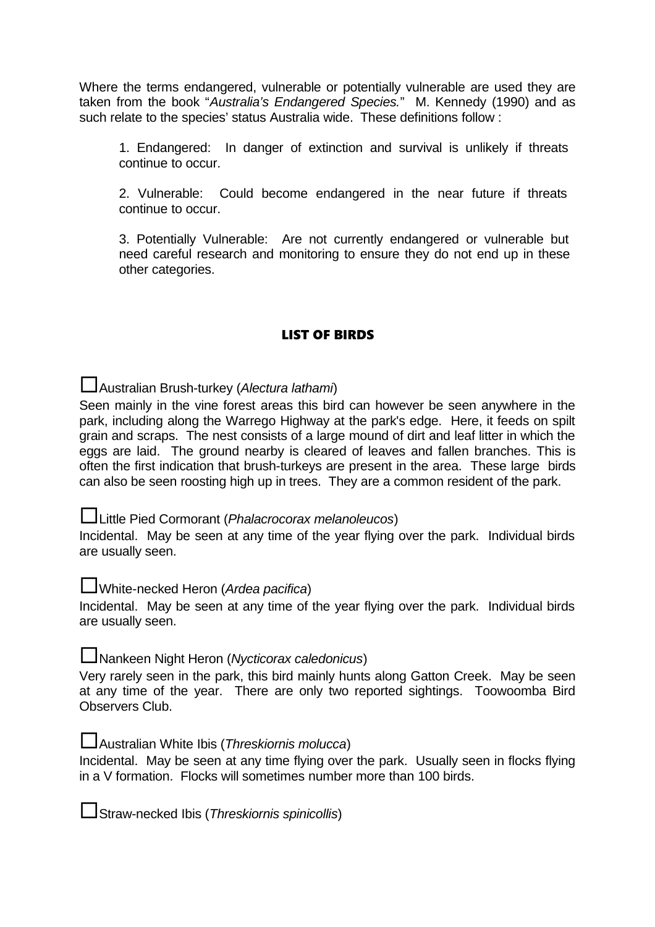Where the terms endangered, vulnerable or potentially vulnerable are used they are taken from the book "Australia's Endangered Species." M. Kennedy (1990) and as such relate to the species' status Australia wide. These definitions follow :

1. Endangered: In danger of extinction and survival is unlikely if threats continue to occur.

2. Vulnerable: Could become endangered in the near future if threats continue to occur.

3. Potentially Vulnerable: Are not currently endangered or vulnerable but need careful research and monitoring to ensure they do not end up in these other categories.

#### LIST OF BIRDS

Australian Brush-turkey (Alectura lathami)

Seen mainly in the vine forest areas this bird can however be seen anywhere in the park, including along the Warrego Highway at the park's edge. Here, it feeds on spilt grain and scraps. The nest consists of a large mound of dirt and leaf litter in which the eggs are laid. The ground nearby is cleared of leaves and fallen branches. This is often the first indication that brush-turkeys are present in the area. These large birds can also be seen roosting high up in trees. They are a common resident of the park.

Little Pied Cormorant (*Phalacrocorax melanoleucos*)

Incidental. May be seen at any time of the year flying over the park. Individual birds are usually seen.

**L**White-necked Heron (Ardea pacifica)

Incidental. May be seen at any time of the year flying over the park. Individual birds are usually seen.

Nankeen Night Heron (Nycticorax caledonicus)

Very rarely seen in the park, this bird mainly hunts along Gatton Creek. May be seen at any time of the year. There are only two reported sightings. Toowoomba Bird Observers Club.

Australian White Ibis (Threskiornis molucca)

Incidental. May be seen at any time flying over the park. Usually seen in flocks flying in a V formation. Flocks will sometimes number more than 100 birds.

Straw-necked Ibis (Threskiornis spinicollis)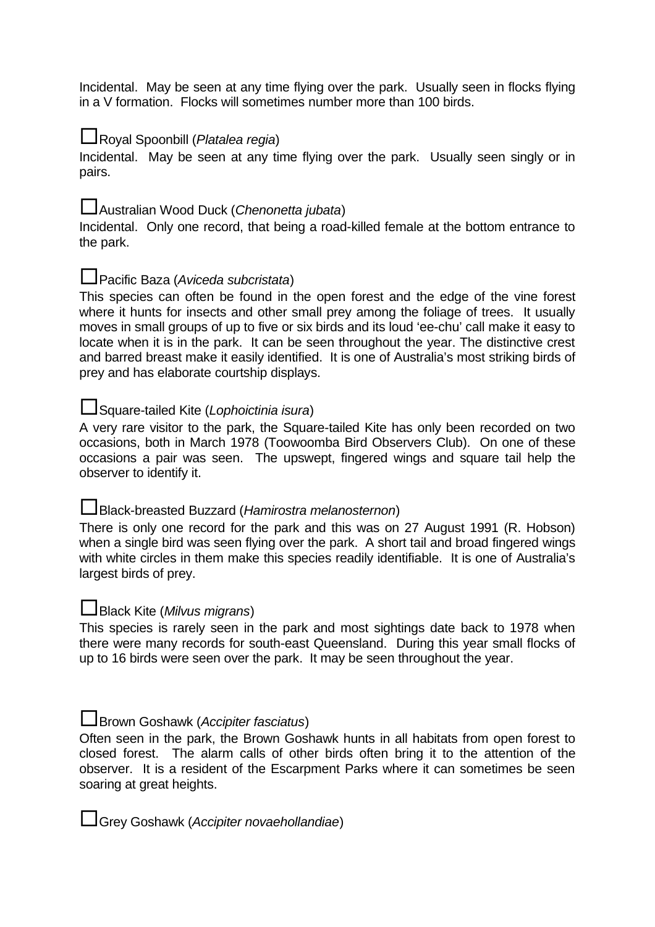Incidental. May be seen at any time flying over the park. Usually seen in flocks flying in a V formation. Flocks will sometimes number more than 100 birds.

## Royal Spoonbill (Platalea regia)

Incidental. May be seen at any time flying over the park. Usually seen singly or in pairs.

## Australian Wood Duck (Chenonetta jubata)

Incidental. Only one record, that being a road-killed female at the bottom entrance to the park.

#### **□Pacific Baza (Aviceda subcristata)**

This species can often be found in the open forest and the edge of the vine forest where it hunts for insects and other small prey among the foliage of trees. It usually moves in small groups of up to five or six birds and its loud 'ee-chu' call make it easy to locate when it is in the park. It can be seen throughout the year. The distinctive crest and barred breast make it easily identified. It is one of Australia's most striking birds of prey and has elaborate courtship displays.

#### Square-tailed Kite (Lophoictinia isura)

A very rare visitor to the park, the Square-tailed Kite has only been recorded on two occasions, both in March 1978 (Toowoomba Bird Observers Club). On one of these occasions a pair was seen. The upswept, fingered wings and square tail help the observer to identify it.

#### Black-breasted Buzzard (Hamirostra melanosternon)

There is only one record for the park and this was on 27 August 1991 (R. Hobson) when a single bird was seen flying over the park. A short tail and broad fingered wings with white circles in them make this species readily identifiable. It is one of Australia's largest birds of prey.

#### **L**Black Kite (Milvus migrans)

This species is rarely seen in the park and most sightings date back to 1978 when there were many records for south-east Queensland. During this year small flocks of up to 16 birds were seen over the park. It may be seen throughout the year.

#### **L**Brown Goshawk (Accipiter fasciatus)

Often seen in the park, the Brown Goshawk hunts in all habitats from open forest to closed forest. The alarm calls of other birds often bring it to the attention of the observer. It is a resident of the Escarpment Parks where it can sometimes be seen soaring at great heights.

Grey Goshawk (Accipiter novaehollandiae)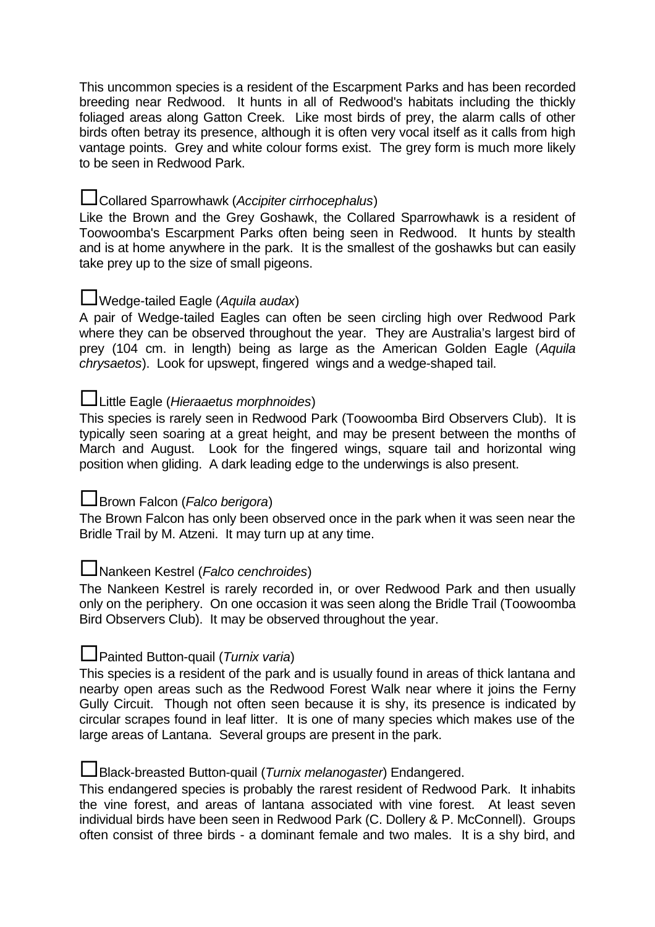This uncommon species is a resident of the Escarpment Parks and has been recorded breeding near Redwood. It hunts in all of Redwood's habitats including the thickly foliaged areas along Gatton Creek. Like most birds of prey, the alarm calls of other birds often betray its presence, although it is often very vocal itself as it calls from high vantage points. Grey and white colour forms exist. The grey form is much more likely to be seen in Redwood Park.

## Collared Sparrowhawk (Accipiter cirrhocephalus)

Like the Brown and the Grey Goshawk, the Collared Sparrowhawk is a resident of Toowoomba's Escarpment Parks often being seen in Redwood. It hunts by stealth and is at home anywhere in the park. It is the smallest of the goshawks but can easily take prey up to the size of small pigeons.

#### $\Box$ Wedge-tailed Eagle (Aquila audax)

A pair of Wedge-tailed Eagles can often be seen circling high over Redwood Park where they can be observed throughout the year. They are Australia's largest bird of prey (104 cm. in length) being as large as the American Golden Eagle (Aquila chrysaetos). Look for upswept, fingered wings and a wedge-shaped tail.

#### Luittle Eagle (Hieraaetus morphnoides)

This species is rarely seen in Redwood Park (Toowoomba Bird Observers Club). It is typically seen soaring at a great height, and may be present between the months of March and August. Look for the fingered wings, square tail and horizontal wing position when gliding. A dark leading edge to the underwings is also present.

#### **L**Brown Falcon (*Falco berigora*)

The Brown Falcon has only been observed once in the park when it was seen near the Bridle Trail by M. Atzeni. It may turn up at any time.

## Nankeen Kestrel (Falco cenchroides)

The Nankeen Kestrel is rarely recorded in, or over Redwood Park and then usually only on the periphery. On one occasion it was seen along the Bridle Trail (Toowoomba Bird Observers Club). It may be observed throughout the year.

#### **L**Painted Button-quail (Turnix varia)

This species is a resident of the park and is usually found in areas of thick lantana and nearby open areas such as the Redwood Forest Walk near where it joins the Ferny Gully Circuit. Though not often seen because it is shy, its presence is indicated by circular scrapes found in leaf litter. It is one of many species which makes use of the large areas of Lantana. Several groups are present in the park.

#### Black-breasted Button-quail (Turnix melanogaster) Endangered.

This endangered species is probably the rarest resident of Redwood Park. It inhabits the vine forest, and areas of lantana associated with vine forest. At least seven individual birds have been seen in Redwood Park (C. Dollery & P. McConnell). Groups often consist of three birds - a dominant female and two males. It is a shy bird, and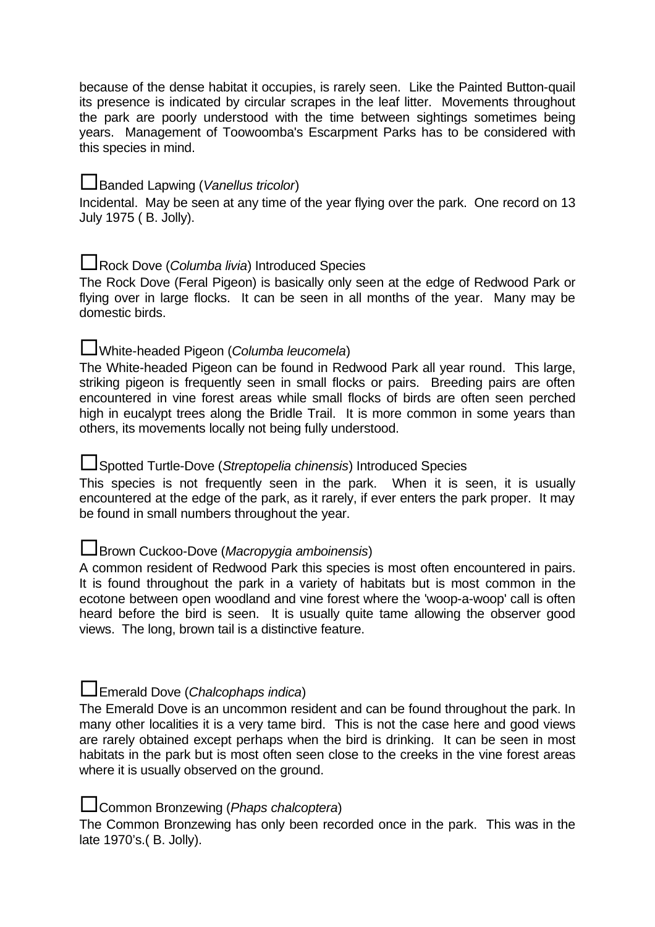because of the dense habitat it occupies, is rarely seen. Like the Painted Button-quail its presence is indicated by circular scrapes in the leaf litter. Movements throughout the park are poorly understood with the time between sightings sometimes being years. Management of Toowoomba's Escarpment Parks has to be considered with this species in mind.

## Banded Lapwing (Vanellus tricolor)

Incidental. May be seen at any time of the year flying over the park. One record on 13 July 1975 ( B. Jolly).

## Rock Dove (Columba livia) Introduced Species

The Rock Dove (Feral Pigeon) is basically only seen at the edge of Redwood Park or flying over in large flocks. It can be seen in all months of the year. Many may be domestic birds.

## White-headed Pigeon (Columba leucomela)

The White-headed Pigeon can be found in Redwood Park all year round. This large, striking pigeon is frequently seen in small flocks or pairs. Breeding pairs are often encountered in vine forest areas while small flocks of birds are often seen perched high in eucalypt trees along the Bridle Trail. It is more common in some years than others, its movements locally not being fully understood.

## Spotted Turtle-Dove (Streptopelia chinensis) Introduced Species

This species is not frequently seen in the park. When it is seen, it is usually encountered at the edge of the park, as it rarely, if ever enters the park proper. It may be found in small numbers throughout the year.

#### **L**Brown Cuckoo-Dove (Macropygia amboinensis)

A common resident of Redwood Park this species is most often encountered in pairs. It is found throughout the park in a variety of habitats but is most common in the ecotone between open woodland and vine forest where the 'woop-a-woop' call is often heard before the bird is seen. It is usually quite tame allowing the observer good views. The long, brown tail is a distinctive feature.

## $\Box$  Emerald Dove (Chalcophaps indica)

The Emerald Dove is an uncommon resident and can be found throughout the park. In many other localities it is a very tame bird. This is not the case here and good views are rarely obtained except perhaps when the bird is drinking. It can be seen in most habitats in the park but is most often seen close to the creeks in the vine forest areas where it is usually observed on the ground.

## **L**Common Bronzewing (*Phaps chalcoptera*)

The Common Bronzewing has only been recorded once in the park. This was in the late 1970's.( B. Jolly).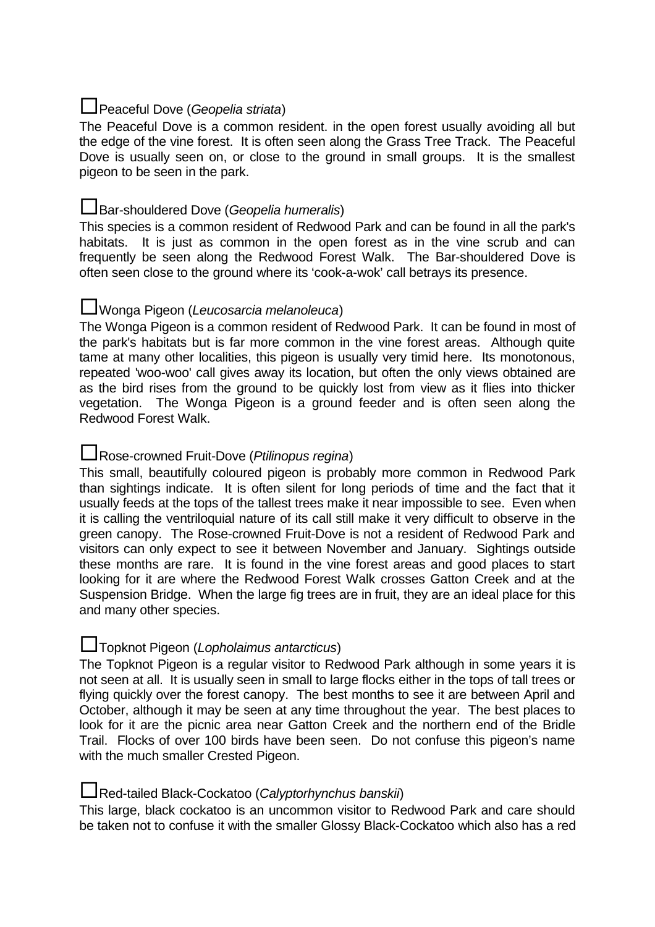## $\Box$  Peaceful Dove (Geopelia striata)

The Peaceful Dove is a common resident. in the open forest usually avoiding all but the edge of the vine forest. It is often seen along the Grass Tree Track. The Peaceful Dove is usually seen on, or close to the ground in small groups. It is the smallest pigeon to be seen in the park.

#### Bar-shouldered Dove (Geopelia humeralis)

This species is a common resident of Redwood Park and can be found in all the park's habitats. It is just as common in the open forest as in the vine scrub and can frequently be seen along the Redwood Forest Walk. The Bar-shouldered Dove is often seen close to the ground where its 'cook-a-wok' call betrays its presence.

## Wonga Pigeon (Leucosarcia melanoleuca)

The Wonga Pigeon is a common resident of Redwood Park. It can be found in most of the park's habitats but is far more common in the vine forest areas. Although quite tame at many other localities, this pigeon is usually very timid here. Its monotonous, repeated 'woo-woo' call gives away its location, but often the only views obtained are as the bird rises from the ground to be quickly lost from view as it flies into thicker vegetation. The Wonga Pigeon is a ground feeder and is often seen along the Redwood Forest Walk.

## **□Rose-crowned Fruit-Dove (Ptilinopus regina)**

This small, beautifully coloured pigeon is probably more common in Redwood Park than sightings indicate. It is often silent for long periods of time and the fact that it usually feeds at the tops of the tallest trees make it near impossible to see. Even when it is calling the ventriloquial nature of its call still make it very difficult to observe in the green canopy. The Rose-crowned Fruit-Dove is not a resident of Redwood Park and visitors can only expect to see it between November and January. Sightings outside these months are rare. It is found in the vine forest areas and good places to start looking for it are where the Redwood Forest Walk crosses Gatton Creek and at the Suspension Bridge. When the large fig trees are in fruit, they are an ideal place for this and many other species.

#### **L**Topknot Pigeon (Lopholaimus antarcticus)

The Topknot Pigeon is a regular visitor to Redwood Park although in some years it is not seen at all. It is usually seen in small to large flocks either in the tops of tall trees or flying quickly over the forest canopy. The best months to see it are between April and October, although it may be seen at any time throughout the year. The best places to look for it are the picnic area near Gatton Creek and the northern end of the Bridle Trail. Flocks of over 100 birds have been seen. Do not confuse this pigeon's name with the much smaller Crested Pigeon.

#### Red-tailed Black-Cockatoo (Calyptorhynchus banskii)

This large, black cockatoo is an uncommon visitor to Redwood Park and care should be taken not to confuse it with the smaller Glossy Black-Cockatoo which also has a red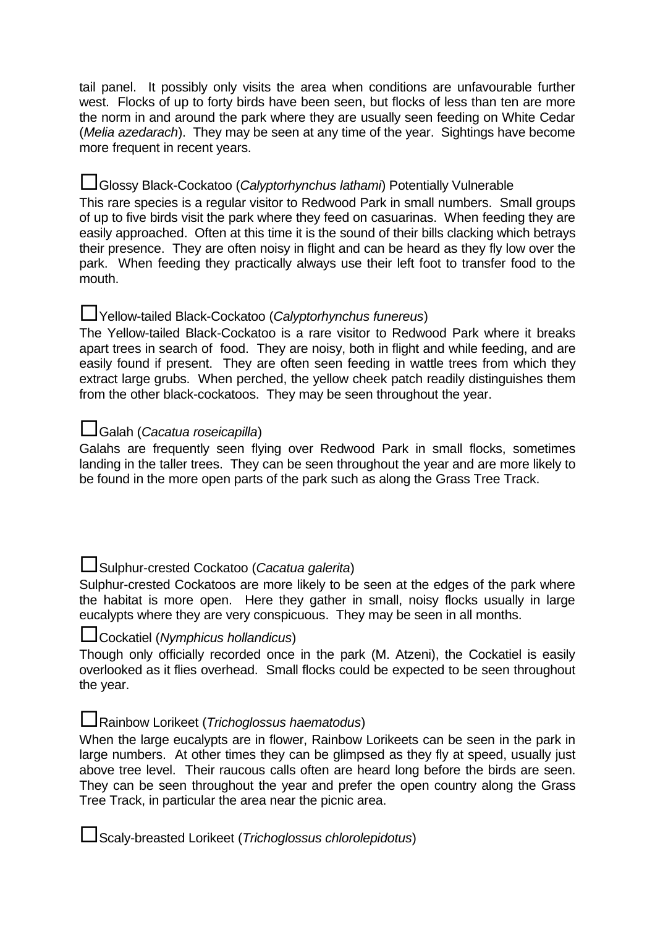tail panel. It possibly only visits the area when conditions are unfavourable further west. Flocks of up to forty birds have been seen, but flocks of less than ten are more the norm in and around the park where they are usually seen feeding on White Cedar (Melia azedarach). They may be seen at any time of the year. Sightings have become more frequent in recent years.

#### Glossy Black-Cockatoo (Calyptorhynchus lathami) Potentially Vulnerable

This rare species is a regular visitor to Redwood Park in small numbers. Small groups of up to five birds visit the park where they feed on casuarinas. When feeding they are easily approached. Often at this time it is the sound of their bills clacking which betrays their presence. They are often noisy in flight and can be heard as they fly low over the park. When feeding they practically always use their left foot to transfer food to the mouth.

## Yellow-tailed Black-Cockatoo (Calyptorhynchus funereus)

The Yellow-tailed Black-Cockatoo is a rare visitor to Redwood Park where it breaks apart trees in search of food. They are noisy, both in flight and while feeding, and are easily found if present. They are often seen feeding in wattle trees from which they extract large grubs. When perched, the yellow cheek patch readily distinguishes them from the other black-cockatoos. They may be seen throughout the year.

## Galah (Cacatua roseicapilla)

Galahs are frequently seen flying over Redwood Park in small flocks, sometimes landing in the taller trees. They can be seen throughout the year and are more likely to be found in the more open parts of the park such as along the Grass Tree Track.

## Sulphur-crested Cockatoo (Cacatua galerita)

Sulphur-crested Cockatoos are more likely to be seen at the edges of the park where the habitat is more open. Here they gather in small, noisy flocks usually in large eucalypts where they are very conspicuous. They may be seen in all months.

## Cockatiel (Nymphicus hollandicus)

Though only officially recorded once in the park (M. Atzeni), the Cockatiel is easily overlooked as it flies overhead. Small flocks could be expected to be seen throughout the year.

## Rainbow Lorikeet (Trichoglossus haematodus)

When the large eucalypts are in flower, Rainbow Lorikeets can be seen in the park in large numbers. At other times they can be glimpsed as they fly at speed, usually just above tree level. Their raucous calls often are heard long before the birds are seen. They can be seen throughout the year and prefer the open country along the Grass Tree Track, in particular the area near the picnic area.

Scaly-breasted Lorikeet (Trichoglossus chlorolepidotus)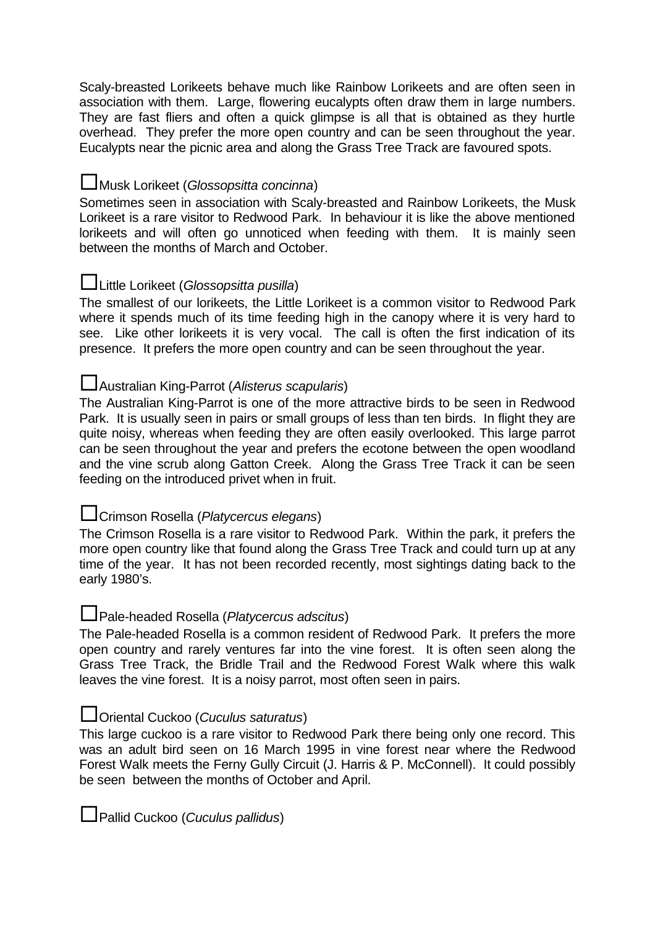Scaly-breasted Lorikeets behave much like Rainbow Lorikeets and are often seen in association with them. Large, flowering eucalypts often draw them in large numbers. They are fast fliers and often a quick glimpse is all that is obtained as they hurtle overhead. They prefer the more open country and can be seen throughout the year. Eucalypts near the picnic area and along the Grass Tree Track are favoured spots.

## **L**Musk Lorikeet (Glossopsitta concinna)

Sometimes seen in association with Scaly-breasted and Rainbow Lorikeets, the Musk Lorikeet is a rare visitor to Redwood Park. In behaviour it is like the above mentioned lorikeets and will often go unnoticed when feeding with them. It is mainly seen between the months of March and October.

## Luittle Lorikeet (Glossopsitta pusilla)

The smallest of our lorikeets, the Little Lorikeet is a common visitor to Redwood Park where it spends much of its time feeding high in the canopy where it is very hard to see. Like other lorikeets it is very vocal. The call is often the first indication of its presence. It prefers the more open country and can be seen throughout the year.

## Australian King-Parrot (Alisterus scapularis)

The Australian King-Parrot is one of the more attractive birds to be seen in Redwood Park. It is usually seen in pairs or small groups of less than ten birds. In flight they are quite noisy, whereas when feeding they are often easily overlooked. This large parrot can be seen throughout the year and prefers the ecotone between the open woodland and the vine scrub along Gatton Creek. Along the Grass Tree Track it can be seen feeding on the introduced privet when in fruit.

## **L**Crimson Rosella (Platycercus elegans)

The Crimson Rosella is a rare visitor to Redwood Park. Within the park, it prefers the more open country like that found along the Grass Tree Track and could turn up at any time of the year. It has not been recorded recently, most sightings dating back to the early 1980's.

## Pale-headed Rosella (Platycercus adscitus)

The Pale-headed Rosella is a common resident of Redwood Park. It prefers the more open country and rarely ventures far into the vine forest. It is often seen along the Grass Tree Track, the Bridle Trail and the Redwood Forest Walk where this walk leaves the vine forest. It is a noisy parrot, most often seen in pairs.

## **Loriental Cuckoo (Cuculus saturatus)**

This large cuckoo is a rare visitor to Redwood Park there being only one record. This was an adult bird seen on 16 March 1995 in vine forest near where the Redwood Forest Walk meets the Ferny Gully Circuit (J. Harris & P. McConnell). It could possibly be seen between the months of October and April.

 $\Box$  Pallid Cuckoo (*Cuculus pallidus*)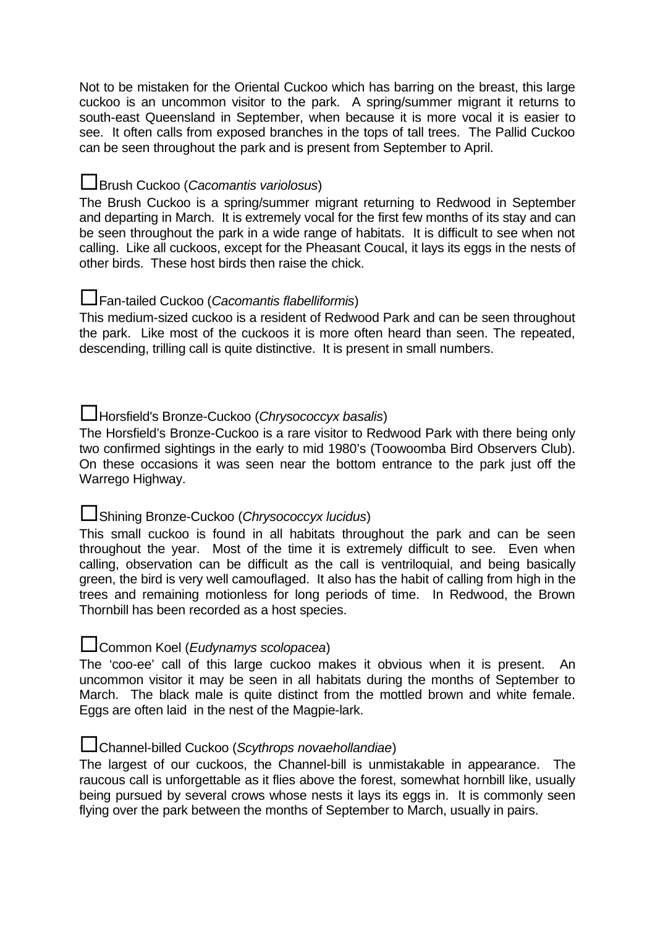Not to be mistaken for the Oriental Cuckoo which has barring on the breast, this large cuckoo is an uncommon visitor to the park. A spring/summer migrant it returns to south-east Queensland in September, when because it is more vocal it is easier to see. It often calls from exposed branches in the tops of tall trees. The Pallid Cuckoo can be seen throughout the park and is present from September to April.

#### **L**Brush Cuckoo (*Cacomantis variolosus*)

The Brush Cuckoo is a spring/summer migrant returning to Redwood in September and departing in March. It is extremely vocal for the first few months of its stay and can be seen throughout the park in a wide range of habitats. It is difficult to see when not calling. Like all cuckoos, except for the Pheasant Coucal, it lays its eggs in the nests of other birds. These host birds then raise the chick.

## Fan-tailed Cuckoo (Cacomantis flabelliformis)

This medium-sized cuckoo is a resident of Redwood Park and can be seen throughout the park. Like most of the cuckoos it is more often heard than seen. The repeated, descending, trilling call is quite distinctive. It is present in small numbers.

## Horsfield's Bronze-Cuckoo (Chrysococcyx basalis)

The Horsfield's Bronze-Cuckoo is a rare visitor to Redwood Park with there being only two confirmed sightings in the early to mid 1980's (Toowoomba Bird Observers Club). On these occasions it was seen near the bottom entrance to the park just off the Warrego Highway.

## Shining Bronze-Cuckoo (Chrysococcyx lucidus)

This small cuckoo is found in all habitats throughout the park and can be seen throughout the year. Most of the time it is extremely difficult to see. Even when calling, observation can be difficult as the call is ventriloquial, and being basically green, the bird is very well camouflaged. It also has the habit of calling from high in the trees and remaining motionless for long periods of time. In Redwood, the Brown Thornbill has been recorded as a host species.

#### **L**Common Koel (*Eudynamys scolopacea*)

The 'coo-ee' call of this large cuckoo makes it obvious when it is present. An uncommon visitor it may be seen in all habitats during the months of September to March. The black male is quite distinct from the mottled brown and white female. Eggs are often laid in the nest of the Magpie-lark.

#### Channel-billed Cuckoo (Scythrops novaehollandiae)

The largest of our cuckoos, the Channel-bill is unmistakable in appearance. The raucous call is unforgettable as it flies above the forest, somewhat hornbill like, usually being pursued by several crows whose nests it lays its eggs in. It is commonly seen flying over the park between the months of September to March, usually in pairs.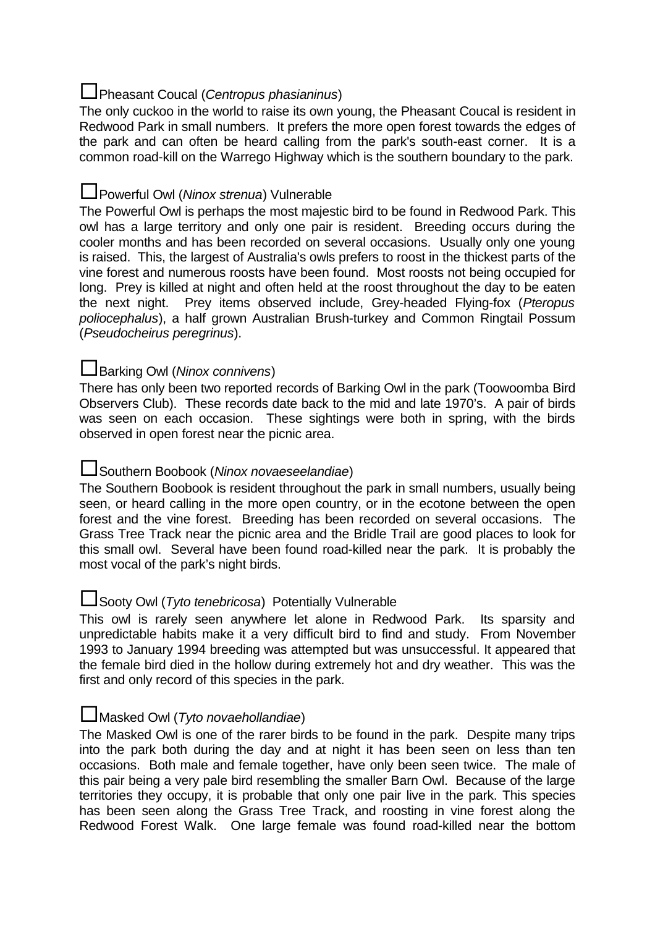## **L** Pheasant Coucal (Centropus phasianinus)

The only cuckoo in the world to raise its own young, the Pheasant Coucal is resident in Redwood Park in small numbers. It prefers the more open forest towards the edges of the park and can often be heard calling from the park's south-east corner. It is a common road-kill on the Warrego Highway which is the southern boundary to the park.

## **L** Powerful Owl (Ninox strenua) Vulnerable

The Powerful Owl is perhaps the most majestic bird to be found in Redwood Park. This owl has a large territory and only one pair is resident. Breeding occurs during the cooler months and has been recorded on several occasions. Usually only one young is raised. This, the largest of Australia's owls prefers to roost in the thickest parts of the vine forest and numerous roosts have been found. Most roosts not being occupied for long. Prey is killed at night and often held at the roost throughout the day to be eaten the next night. Prey items observed include, Grey-headed Flying-fox (Pteropus poliocephalus), a half grown Australian Brush-turkey and Common Ringtail Possum (Pseudocheirus peregrinus).

## Barking Owl (Ninox connivens)

There has only been two reported records of Barking Owl in the park (Toowoomba Bird Observers Club). These records date back to the mid and late 1970's. A pair of birds was seen on each occasion. These sightings were both in spring, with the birds observed in open forest near the picnic area.

## Southern Boobook (Ninox novaeseelandiae)

The Southern Boobook is resident throughout the park in small numbers, usually being seen, or heard calling in the more open country, or in the ecotone between the open forest and the vine forest. Breeding has been recorded on several occasions. The Grass Tree Track near the picnic area and the Bridle Trail are good places to look for this small owl. Several have been found road-killed near the park. It is probably the most vocal of the park's night birds.

## Sooty Owl (Tyto tenebricosa) Potentially Vulnerable

This owl is rarely seen anywhere let alone in Redwood Park. Its sparsity and unpredictable habits make it a very difficult bird to find and study. From November 1993 to January 1994 breeding was attempted but was unsuccessful. It appeared that the female bird died in the hollow during extremely hot and dry weather. This was the first and only record of this species in the park.

## Masked Owl (Tyto novaehollandiae)

The Masked Owl is one of the rarer birds to be found in the park. Despite many trips into the park both during the day and at night it has been seen on less than ten occasions. Both male and female together, have only been seen twice. The male of this pair being a very pale bird resembling the smaller Barn Owl. Because of the large territories they occupy, it is probable that only one pair live in the park. This species has been seen along the Grass Tree Track, and roosting in vine forest along the Redwood Forest Walk. One large female was found road-killed near the bottom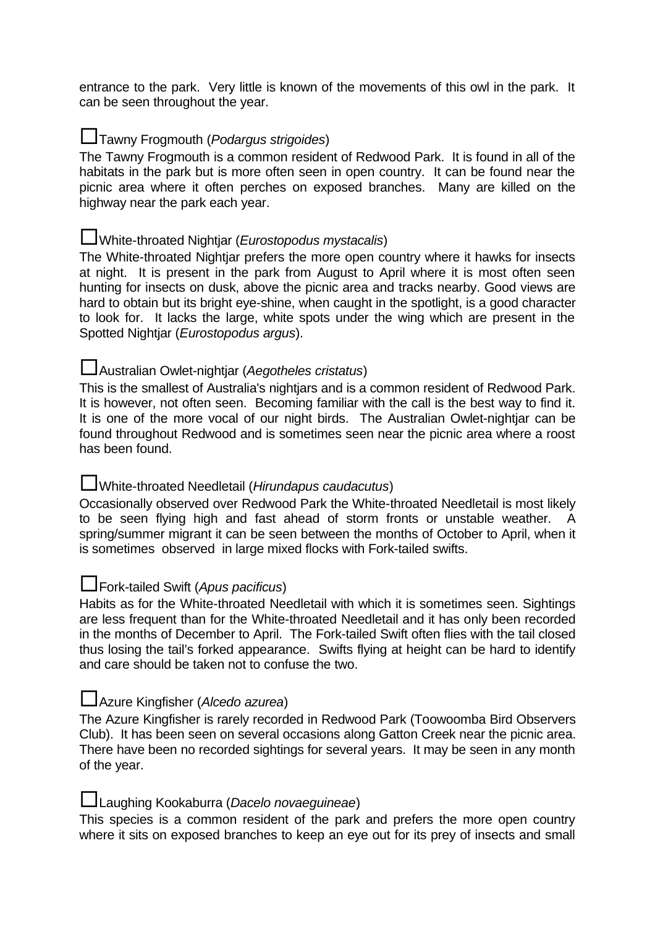entrance to the park. Very little is known of the movements of this owl in the park. It can be seen throughout the year.

## **L**Tawny Frogmouth (*Podargus strigoides*)

The Tawny Frogmouth is a common resident of Redwood Park. It is found in all of the habitats in the park but is more often seen in open country. It can be found near the picnic area where it often perches on exposed branches. Many are killed on the highway near the park each year.

#### **L**White-throated Nightjar (*Eurostopodus mystacalis*)

The White-throated Nightjar prefers the more open country where it hawks for insects at night. It is present in the park from August to April where it is most often seen hunting for insects on dusk, above the picnic area and tracks nearby. Good views are hard to obtain but its bright eye-shine, when caught in the spotlight, is a good character to look for. It lacks the large, white spots under the wing which are present in the Spotted Nightjar (Eurostopodus argus).

## Australian Owlet-nightjar (Aegotheles cristatus)

This is the smallest of Australia's nightjars and is a common resident of Redwood Park. It is however, not often seen. Becoming familiar with the call is the best way to find it. It is one of the more vocal of our night birds. The Australian Owlet-nightjar can be found throughout Redwood and is sometimes seen near the picnic area where a roost has been found.

#### **L**White-throated Needletail (Hirundapus caudacutus)

Occasionally observed over Redwood Park the White-throated Needletail is most likely to be seen flying high and fast ahead of storm fronts or unstable weather. A spring/summer migrant it can be seen between the months of October to April, when it is sometimes observed in large mixed flocks with Fork-tailed swifts.

## **L**Fork-tailed Swift (Apus pacificus)

Habits as for the White-throated Needletail with which it is sometimes seen. Sightings are less frequent than for the White-throated Needletail and it has only been recorded in the months of December to April. The Fork-tailed Swift often flies with the tail closed thus losing the tail's forked appearance. Swifts flying at height can be hard to identify and care should be taken not to confuse the two.

#### Azure Kingfisher (Alcedo azurea)

The Azure Kingfisher is rarely recorded in Redwood Park (Toowoomba Bird Observers Club). It has been seen on several occasions along Gatton Creek near the picnic area. There have been no recorded sightings for several years. It may be seen in any month of the year.

#### Laughing Kookaburra (Dacelo novaeguineae)

This species is a common resident of the park and prefers the more open country where it sits on exposed branches to keep an eye out for its prey of insects and small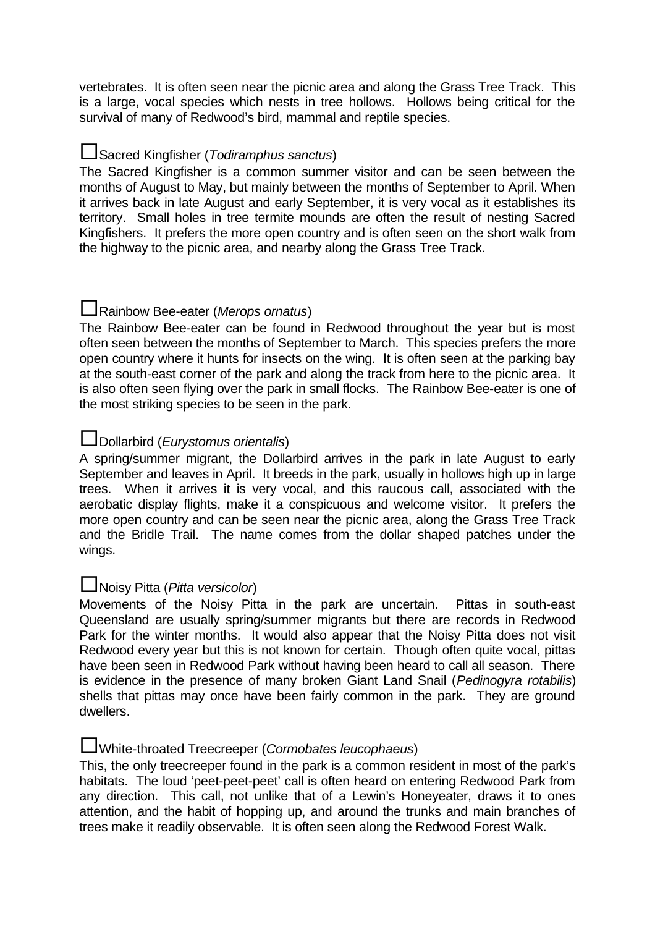vertebrates. It is often seen near the picnic area and along the Grass Tree Track. This is a large, vocal species which nests in tree hollows. Hollows being critical for the survival of many of Redwood's bird, mammal and reptile species.

## Sacred Kingfisher (Todiramphus sanctus)

The Sacred Kingfisher is a common summer visitor and can be seen between the months of August to May, but mainly between the months of September to April. When it arrives back in late August and early September, it is very vocal as it establishes its territory. Small holes in tree termite mounds are often the result of nesting Sacred Kingfishers. It prefers the more open country and is often seen on the short walk from the highway to the picnic area, and nearby along the Grass Tree Track.

## **L**Rainbow Bee-eater (Merops ornatus)

The Rainbow Bee-eater can be found in Redwood throughout the year but is most often seen between the months of September to March. This species prefers the more open country where it hunts for insects on the wing. It is often seen at the parking bay at the south-east corner of the park and along the track from here to the picnic area. It is also often seen flying over the park in small flocks. The Rainbow Bee-eater is one of the most striking species to be seen in the park.

## **L**Dollarbird (*Eurystomus orientalis*)

A spring/summer migrant, the Dollarbird arrives in the park in late August to early September and leaves in April. It breeds in the park, usually in hollows high up in large trees. When it arrives it is very vocal, and this raucous call, associated with the aerobatic display flights, make it a conspicuous and welcome visitor. It prefers the more open country and can be seen near the picnic area, along the Grass Tree Track and the Bridle Trail. The name comes from the dollar shaped patches under the wings.

#### Noisy Pitta (Pitta versicolor)

Movements of the Noisy Pitta in the park are uncertain. Pittas in south-east Queensland are usually spring/summer migrants but there are records in Redwood Park for the winter months. It would also appear that the Noisy Pitta does not visit Redwood every year but this is not known for certain. Though often quite vocal, pittas have been seen in Redwood Park without having been heard to call all season. There is evidence in the presence of many broken Giant Land Snail (Pedinogyra rotabilis) shells that pittas may once have been fairly common in the park. They are ground dwellers.

## White-throated Treecreeper (Cormobates leucophaeus)

This, the only treecreeper found in the park is a common resident in most of the park's habitats. The loud 'peet-peet-peet' call is often heard on entering Redwood Park from any direction. This call, not unlike that of a Lewin's Honeyeater, draws it to ones attention, and the habit of hopping up, and around the trunks and main branches of trees make it readily observable. It is often seen along the Redwood Forest Walk.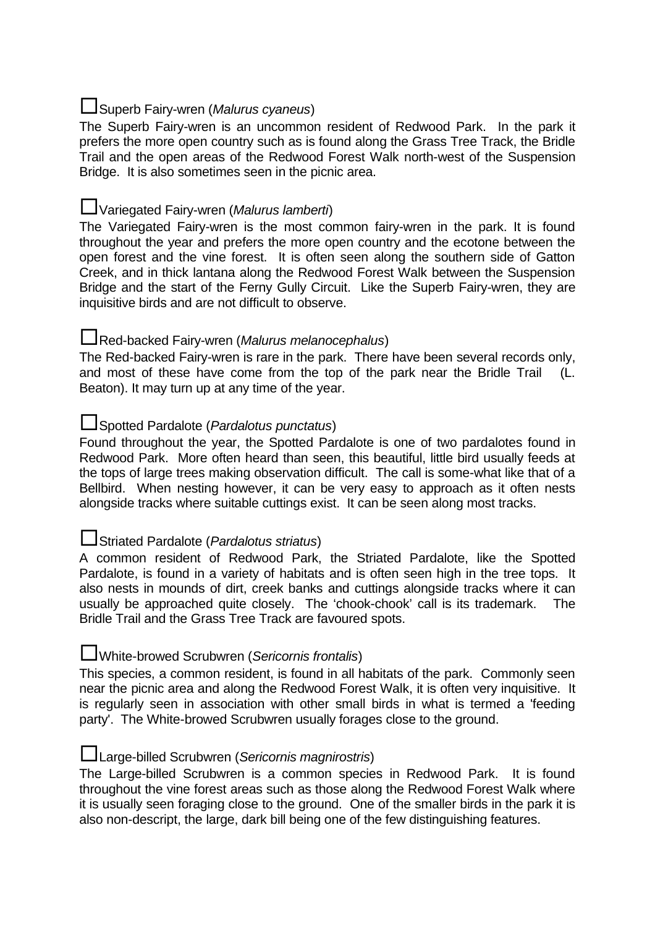## **L**Superb Fairy-wren (Malurus cyaneus)

The Superb Fairy-wren is an uncommon resident of Redwood Park. In the park it prefers the more open country such as is found along the Grass Tree Track, the Bridle Trail and the open areas of the Redwood Forest Walk north-west of the Suspension Bridge. It is also sometimes seen in the picnic area.

## UVariegated Fairy-wren (Malurus lamberti)

The Variegated Fairy-wren is the most common fairy-wren in the park. It is found throughout the year and prefers the more open country and the ecotone between the open forest and the vine forest. It is often seen along the southern side of Gatton Creek, and in thick lantana along the Redwood Forest Walk between the Suspension Bridge and the start of the Ferny Gully Circuit. Like the Superb Fairy-wren, they are inquisitive birds and are not difficult to observe.

## **L**Red-backed Fairy-wren (Malurus melanocephalus)

The Red-backed Fairy-wren is rare in the park. There have been several records only, and most of these have come from the top of the park near the Bridle Trail (L. Beaton). It may turn up at any time of the year.

## Spotted Pardalote (Pardalotus punctatus)

Found throughout the year, the Spotted Pardalote is one of two pardalotes found in Redwood Park. More often heard than seen, this beautiful, little bird usually feeds at the tops of large trees making observation difficult. The call is some-what like that of a Bellbird. When nesting however, it can be very easy to approach as it often nests alongside tracks where suitable cuttings exist. It can be seen along most tracks.

## **L**Striated Pardalote (*Pardalotus striatus*)

A common resident of Redwood Park, the Striated Pardalote, like the Spotted Pardalote, is found in a variety of habitats and is often seen high in the tree tops. It also nests in mounds of dirt, creek banks and cuttings alongside tracks where it can usually be approached quite closely. The 'chook-chook' call is its trademark. The Bridle Trail and the Grass Tree Track are favoured spots.

#### White-browed Scrubwren (Sericornis frontalis)

This species, a common resident, is found in all habitats of the park. Commonly seen near the picnic area and along the Redwood Forest Walk, it is often very inquisitive. It is regularly seen in association with other small birds in what is termed a 'feeding party'. The White-browed Scrubwren usually forages close to the ground.

#### Large-billed Scrubwren (Sericornis magnirostris)

The Large-billed Scrubwren is a common species in Redwood Park. It is found throughout the vine forest areas such as those along the Redwood Forest Walk where it is usually seen foraging close to the ground. One of the smaller birds in the park it is also non-descript, the large, dark bill being one of the few distinguishing features.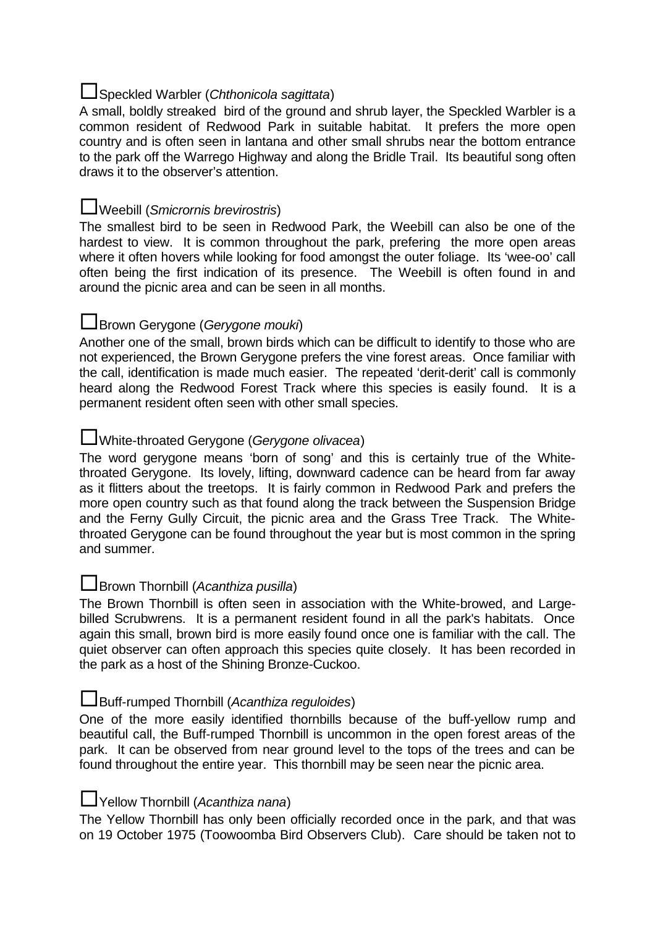## **L**Speckled Warbler (Chthonicola sagittata)

A small, boldly streaked bird of the ground and shrub layer, the Speckled Warbler is a common resident of Redwood Park in suitable habitat. It prefers the more open country and is often seen in lantana and other small shrubs near the bottom entrance to the park off the Warrego Highway and along the Bridle Trail. Its beautiful song often draws it to the observer's attention.

#### Weebill (Smicrornis brevirostris)

The smallest bird to be seen in Redwood Park, the Weebill can also be one of the hardest to view. It is common throughout the park, prefering the more open areas where it often hovers while looking for food amongst the outer foliage. Its 'wee-oo' call often being the first indication of its presence. The Weebill is often found in and around the picnic area and can be seen in all months.

## **L**Brown Gerygone (Gerygone mouki)

Another one of the small, brown birds which can be difficult to identify to those who are not experienced, the Brown Gerygone prefers the vine forest areas. Once familiar with the call, identification is made much easier. The repeated 'derit-derit' call is commonly heard along the Redwood Forest Track where this species is easily found. It is a permanent resident often seen with other small species.

## **L**White-throated Gerygone (Gerygone olivacea)

The word gerygone means 'born of song' and this is certainly true of the Whitethroated Gerygone. Its lovely, lifting, downward cadence can be heard from far away as it flitters about the treetops. It is fairly common in Redwood Park and prefers the more open country such as that found along the track between the Suspension Bridge and the Ferny Gully Circuit, the picnic area and the Grass Tree Track. The Whitethroated Gerygone can be found throughout the year but is most common in the spring and summer.

#### $\Box$ Brown Thornbill (Acanthiza pusilla)

The Brown Thornbill is often seen in association with the White-browed, and Largebilled Scrubwrens. It is a permanent resident found in all the park's habitats. Once again this small, brown bird is more easily found once one is familiar with the call. The quiet observer can often approach this species quite closely. It has been recorded in the park as a host of the Shining Bronze-Cuckoo.

#### Buff-rumped Thornbill (Acanthiza reguloides)

One of the more easily identified thornbills because of the buff-yellow rump and beautiful call, the Buff-rumped Thornbill is uncommon in the open forest areas of the park. It can be observed from near ground level to the tops of the trees and can be found throughout the entire year. This thornbill may be seen near the picnic area.

#### **L**Yellow Thornbill (Acanthiza nana)

The Yellow Thornbill has only been officially recorded once in the park, and that was on 19 October 1975 (Toowoomba Bird Observers Club). Care should be taken not to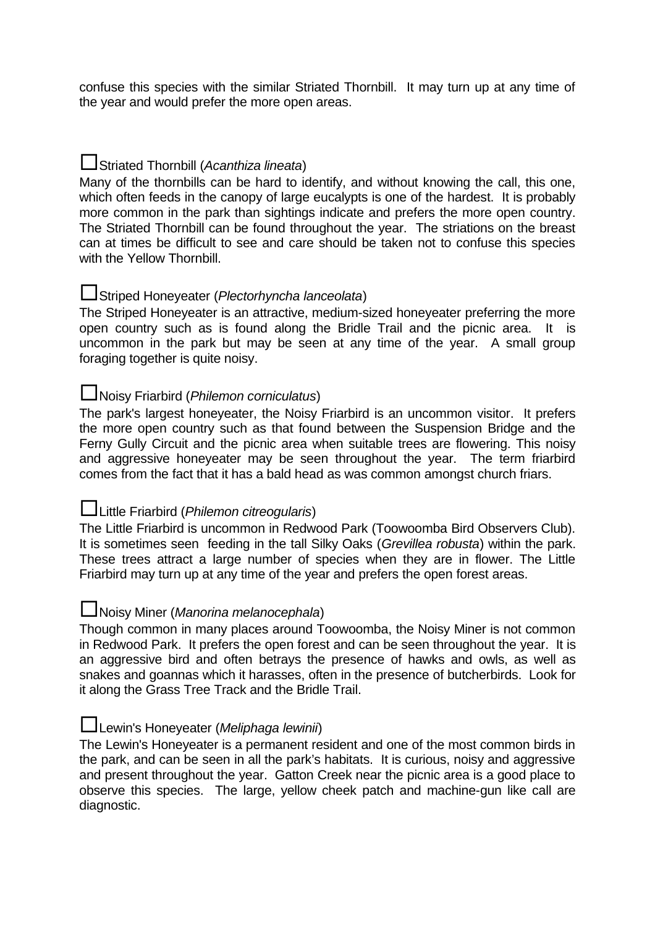confuse this species with the similar Striated Thornbill. It may turn up at any time of the year and would prefer the more open areas.

## $\square$ Striated Thornbill (Acanthiza lineata)

Many of the thornbills can be hard to identify, and without knowing the call, this one, which often feeds in the canopy of large eucalypts is one of the hardest. It is probably more common in the park than sightings indicate and prefers the more open country. The Striated Thornbill can be found throughout the year. The striations on the breast can at times be difficult to see and care should be taken not to confuse this species with the Yellow Thornbill.

#### Striped Honeyeater (Plectorhyncha lanceolata)

The Striped Honeyeater is an attractive, medium-sized honeyeater preferring the more open country such as is found along the Bridle Trail and the picnic area. It is uncommon in the park but may be seen at any time of the year. A small group foraging together is quite noisy.

## Noisy Friarbird (Philemon corniculatus)

The park's largest honeyeater, the Noisy Friarbird is an uncommon visitor. It prefers the more open country such as that found between the Suspension Bridge and the Ferny Gully Circuit and the picnic area when suitable trees are flowering. This noisy and aggressive honeyeater may be seen throughout the year. The term friarbird comes from the fact that it has a bald head as was common amongst church friars.

#### Luittle Friarbird (*Philemon citreogularis*)

The Little Friarbird is uncommon in Redwood Park (Toowoomba Bird Observers Club). It is sometimes seen feeding in the tall Silky Oaks (Grevillea robusta) within the park. These trees attract a large number of species when they are in flower. The Little Friarbird may turn up at any time of the year and prefers the open forest areas.

### Noisy Miner (Manorina melanocephala)

Though common in many places around Toowoomba, the Noisy Miner is not common in Redwood Park. It prefers the open forest and can be seen throughout the year. It is an aggressive bird and often betrays the presence of hawks and owls, as well as snakes and goannas which it harasses, often in the presence of butcherbirds. Look for it along the Grass Tree Track and the Bridle Trail.

## Lewin's Honeyeater (Meliphaga lewinii)

The Lewin's Honeyeater is a permanent resident and one of the most common birds in the park, and can be seen in all the park's habitats. It is curious, noisy and aggressive and present throughout the year. Gatton Creek near the picnic area is a good place to observe this species. The large, yellow cheek patch and machine-gun like call are diagnostic.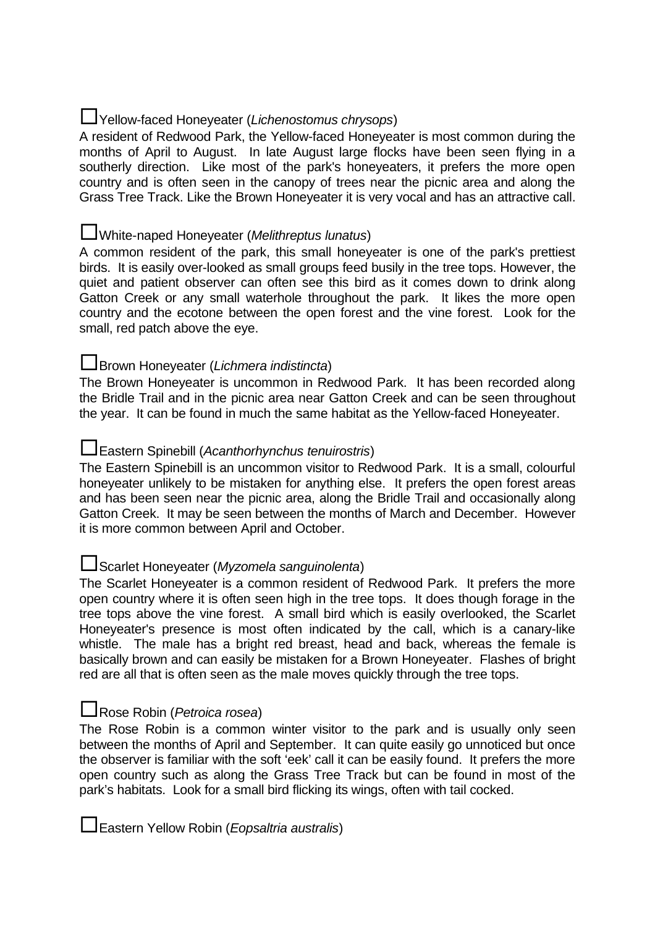## Yellow-faced Honeyeater (Lichenostomus chrysops)

A resident of Redwood Park, the Yellow-faced Honeyeater is most common during the months of April to August. In late August large flocks have been seen flying in a southerly direction. Like most of the park's honeyeaters, it prefers the more open country and is often seen in the canopy of trees near the picnic area and along the Grass Tree Track. Like the Brown Honeyeater it is very vocal and has an attractive call.

## **L**White-naped Honeyeater (Melithreptus lunatus)

A common resident of the park, this small honeyeater is one of the park's prettiest birds. It is easily over-looked as small groups feed busily in the tree tops. However, the quiet and patient observer can often see this bird as it comes down to drink along Gatton Creek or any small waterhole throughout the park. It likes the more open country and the ecotone between the open forest and the vine forest. Look for the small, red patch above the eye.

## **L**Brown Honeyeater (Lichmera indistincta)

The Brown Honeyeater is uncommon in Redwood Park. It has been recorded along the Bridle Trail and in the picnic area near Gatton Creek and can be seen throughout the year. It can be found in much the same habitat as the Yellow-faced Honeyeater.

## Eastern Spinebill (Acanthorhynchus tenuirostris)

The Eastern Spinebill is an uncommon visitor to Redwood Park. It is a small, colourful honeyeater unlikely to be mistaken for anything else. It prefers the open forest areas and has been seen near the picnic area, along the Bridle Trail and occasionally along Gatton Creek. It may be seen between the months of March and December. However it is more common between April and October.

## Scarlet Honeyeater (Myzomela sanguinolenta)

The Scarlet Honeyeater is a common resident of Redwood Park. It prefers the more open country where it is often seen high in the tree tops. It does though forage in the tree tops above the vine forest. A small bird which is easily overlooked, the Scarlet Honeyeater's presence is most often indicated by the call, which is a canary-like whistle. The male has a bright red breast, head and back, whereas the female is basically brown and can easily be mistaken for a Brown Honeyeater. Flashes of bright red are all that is often seen as the male moves quickly through the tree tops.

## **∟Rose Robin (Petroica rosea)**

The Rose Robin is a common winter visitor to the park and is usually only seen between the months of April and September. It can quite easily go unnoticed but once the observer is familiar with the soft 'eek' call it can be easily found. It prefers the more open country such as along the Grass Tree Track but can be found in most of the park's habitats. Look for a small bird flicking its wings, often with tail cocked.

Eastern Yellow Robin (*Eopsaltria australis*)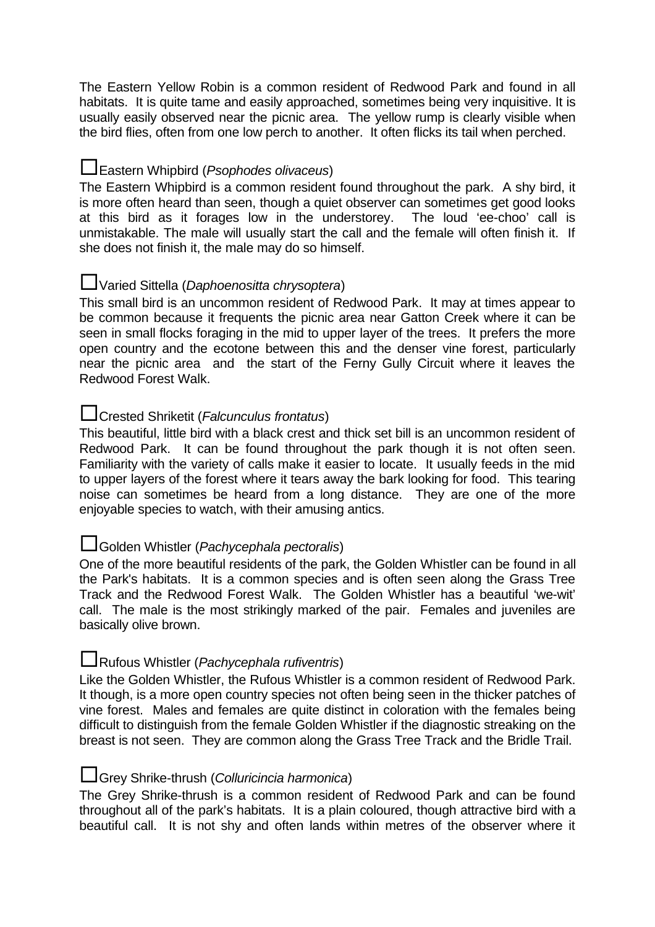The Eastern Yellow Robin is a common resident of Redwood Park and found in all habitats. It is quite tame and easily approached, sometimes being very inquisitive. It is usually easily observed near the picnic area. The yellow rump is clearly visible when the bird flies, often from one low perch to another. It often flicks its tail when perched.

## **L**Eastern Whipbird (Psophodes olivaceus)

The Eastern Whipbird is a common resident found throughout the park. A shy bird, it is more often heard than seen, though a quiet observer can sometimes get good looks at this bird as it forages low in the understorey. The loud 'ee-choo' call is unmistakable. The male will usually start the call and the female will often finish it. If she does not finish it, the male may do so himself.

## UVaried Sittella (Daphoenositta chrysoptera)

This small bird is an uncommon resident of Redwood Park. It may at times appear to be common because it frequents the picnic area near Gatton Creek where it can be seen in small flocks foraging in the mid to upper layer of the trees. It prefers the more open country and the ecotone between this and the denser vine forest, particularly near the picnic area and the start of the Ferny Gully Circuit where it leaves the Redwood Forest Walk.

## Crested Shriketit (Falcunculus frontatus)

This beautiful, little bird with a black crest and thick set bill is an uncommon resident of Redwood Park. It can be found throughout the park though it is not often seen. Familiarity with the variety of calls make it easier to locate. It usually feeds in the mid to upper layers of the forest where it tears away the bark looking for food. This tearing noise can sometimes be heard from a long distance. They are one of the more enjoyable species to watch, with their amusing antics.

## Golden Whistler (Pachycephala pectoralis)

One of the more beautiful residents of the park, the Golden Whistler can be found in all the Park's habitats. It is a common species and is often seen along the Grass Tree Track and the Redwood Forest Walk. The Golden Whistler has a beautiful 'we-wit' call. The male is the most strikingly marked of the pair. Females and juveniles are basically olive brown.

## Rufous Whistler (Pachycephala rufiventris)

Like the Golden Whistler, the Rufous Whistler is a common resident of Redwood Park. It though, is a more open country species not often being seen in the thicker patches of vine forest. Males and females are quite distinct in coloration with the females being difficult to distinguish from the female Golden Whistler if the diagnostic streaking on the breast is not seen. They are common along the Grass Tree Track and the Bridle Trail.

#### Grey Shrike-thrush (Colluricincia harmonica)

The Grey Shrike-thrush is a common resident of Redwood Park and can be found throughout all of the park's habitats. It is a plain coloured, though attractive bird with a beautiful call. It is not shy and often lands within metres of the observer where it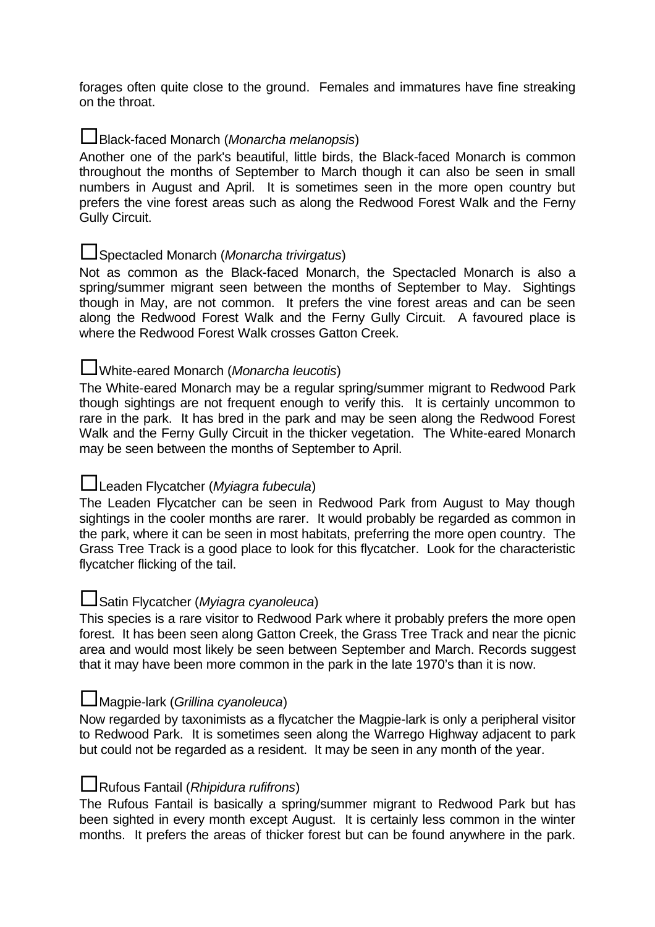forages often quite close to the ground. Females and immatures have fine streaking on the throat.

#### Black-faced Monarch (Monarcha melanopsis)

Another one of the park's beautiful, little birds, the Black-faced Monarch is common throughout the months of September to March though it can also be seen in small numbers in August and April. It is sometimes seen in the more open country but prefers the vine forest areas such as along the Redwood Forest Walk and the Ferny Gully Circuit.

## Spectacled Monarch (Monarcha trivirgatus)

Not as common as the Black-faced Monarch, the Spectacled Monarch is also a spring/summer migrant seen between the months of September to May. Sightings though in May, are not common. It prefers the vine forest areas and can be seen along the Redwood Forest Walk and the Ferny Gully Circuit. A favoured place is where the Redwood Forest Walk crosses Gatton Creek.

## White-eared Monarch (Monarcha leucotis)

The White-eared Monarch may be a regular spring/summer migrant to Redwood Park though sightings are not frequent enough to verify this. It is certainly uncommon to rare in the park. It has bred in the park and may be seen along the Redwood Forest Walk and the Ferny Gully Circuit in the thicker vegetation. The White-eared Monarch may be seen between the months of September to April.

## LLeaden Flycatcher (Myiagra fubecula)

The Leaden Flycatcher can be seen in Redwood Park from August to May though sightings in the cooler months are rarer. It would probably be regarded as common in the park, where it can be seen in most habitats, preferring the more open country. The Grass Tree Track is a good place to look for this flycatcher. Look for the characteristic flycatcher flicking of the tail.

## Satin Flycatcher (Myiagra cyanoleuca)

This species is a rare visitor to Redwood Park where it probably prefers the more open forest. It has been seen along Gatton Creek, the Grass Tree Track and near the picnic area and would most likely be seen between September and March. Records suggest that it may have been more common in the park in the late 1970's than it is now.

## $\Box$ Magpie-lark (Grillina cyanoleuca)

Now regarded by taxonimists as a flycatcher the Magpie-lark is only a peripheral visitor to Redwood Park. It is sometimes seen along the Warrego Highway adjacent to park but could not be regarded as a resident. It may be seen in any month of the year.

## $\Box$ Rufous Fantail (*Rhipidura rufifrons*)

The Rufous Fantail is basically a spring/summer migrant to Redwood Park but has been sighted in every month except August. It is certainly less common in the winter months. It prefers the areas of thicker forest but can be found anywhere in the park.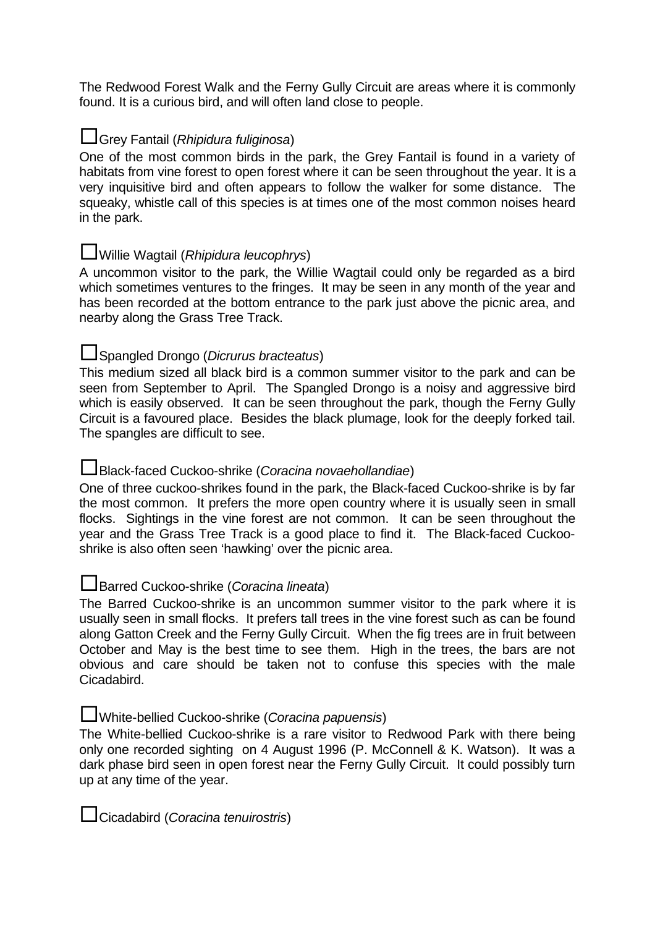The Redwood Forest Walk and the Ferny Gully Circuit are areas where it is commonly found. It is a curious bird, and will often land close to people.

## Grey Fantail (Rhipidura fuliginosa)

One of the most common birds in the park, the Grey Fantail is found in a variety of habitats from vine forest to open forest where it can be seen throughout the year. It is a very inquisitive bird and often appears to follow the walker for some distance. The squeaky, whistle call of this species is at times one of the most common noises heard in the park.

## Willie Wagtail (Rhipidura leucophrys)

A uncommon visitor to the park, the Willie Wagtail could only be regarded as a bird which sometimes ventures to the fringes. It may be seen in any month of the year and has been recorded at the bottom entrance to the park just above the picnic area, and nearby along the Grass Tree Track.

## Spangled Drongo (Dicrurus bracteatus)

This medium sized all black bird is a common summer visitor to the park and can be seen from September to April. The Spangled Drongo is a noisy and aggressive bird which is easily observed. It can be seen throughout the park, though the Ferny Gully Circuit is a favoured place. Besides the black plumage, look for the deeply forked tail. The spangles are difficult to see.

## Black-faced Cuckoo-shrike (Coracina novaehollandiae)

One of three cuckoo-shrikes found in the park, the Black-faced Cuckoo-shrike is by far the most common. It prefers the more open country where it is usually seen in small flocks. Sightings in the vine forest are not common. It can be seen throughout the year and the Grass Tree Track is a good place to find it. The Black-faced Cuckooshrike is also often seen 'hawking' over the picnic area.

## **L**Barred Cuckoo-shrike (Coracina lineata)

The Barred Cuckoo-shrike is an uncommon summer visitor to the park where it is usually seen in small flocks. It prefers tall trees in the vine forest such as can be found along Gatton Creek and the Ferny Gully Circuit. When the fig trees are in fruit between October and May is the best time to see them. High in the trees, the bars are not obvious and care should be taken not to confuse this species with the male Cicadabird.

## White-bellied Cuckoo-shrike (Coracina papuensis)

The White-bellied Cuckoo-shrike is a rare visitor to Redwood Park with there being only one recorded sighting on 4 August 1996 (P. McConnell & K. Watson). It was a dark phase bird seen in open forest near the Ferny Gully Circuit. It could possibly turn up at any time of the year.

Cicadabird (Coracina tenuirostris)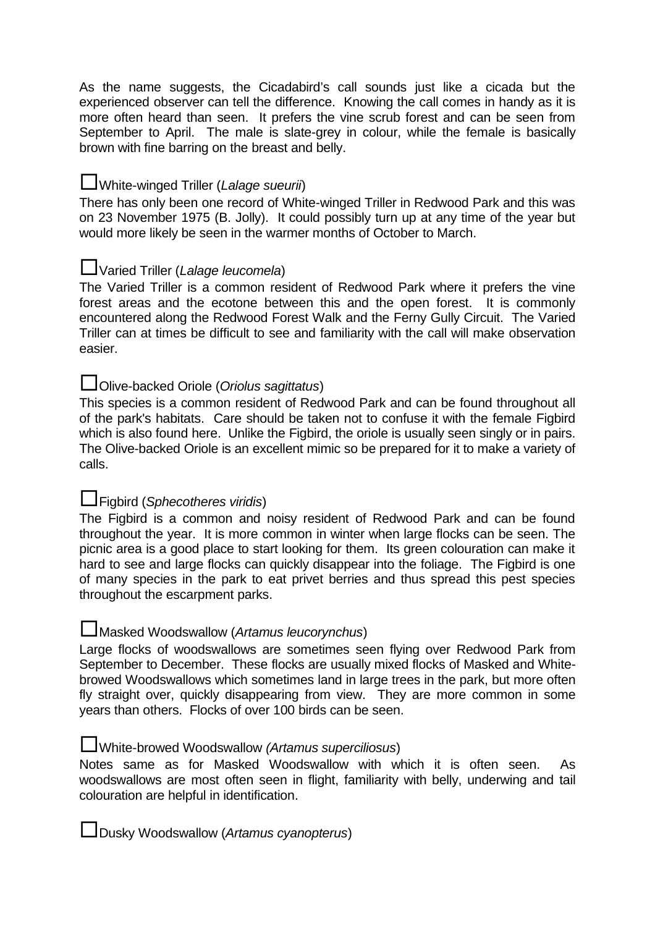As the name suggests, the Cicadabird's call sounds just like a cicada but the experienced observer can tell the difference. Knowing the call comes in handy as it is more often heard than seen. It prefers the vine scrub forest and can be seen from September to April. The male is slate-grey in colour, while the female is basically brown with fine barring on the breast and belly.

## **L**White-winged Triller (Lalage sueurii)

There has only been one record of White-winged Triller in Redwood Park and this was on 23 November 1975 (B. Jolly). It could possibly turn up at any time of the year but would more likely be seen in the warmer months of October to March.

## UVaried Triller (Lalage leucomela)

The Varied Triller is a common resident of Redwood Park where it prefers the vine forest areas and the ecotone between this and the open forest. It is commonly encountered along the Redwood Forest Walk and the Ferny Gully Circuit. The Varied Triller can at times be difficult to see and familiarity with the call will make observation easier.

## **Lolive-backed Oriole (Oriolus sagittatus)**

This species is a common resident of Redwood Park and can be found throughout all of the park's habitats. Care should be taken not to confuse it with the female Figbird which is also found here. Unlike the Figbird, the oriole is usually seen singly or in pairs. The Olive-backed Oriole is an excellent mimic so be prepared for it to make a variety of calls.

## Figbird (Sphecotheres viridis)

The Figbird is a common and noisy resident of Redwood Park and can be found throughout the year. It is more common in winter when large flocks can be seen. The picnic area is a good place to start looking for them. Its green colouration can make it hard to see and large flocks can quickly disappear into the foliage. The Figbird is one of many species in the park to eat privet berries and thus spread this pest species throughout the escarpment parks.

#### Masked Woodswallow (Artamus leucorynchus)

Large flocks of woodswallows are sometimes seen flying over Redwood Park from September to December. These flocks are usually mixed flocks of Masked and Whitebrowed Woodswallows which sometimes land in large trees in the park, but more often fly straight over, quickly disappearing from view. They are more common in some years than others. Flocks of over 100 birds can be seen.

#### **L**White-browed Woodswallow (Artamus superciliosus)

Notes same as for Masked Woodswallow with which it is often seen. As woodswallows are most often seen in flight, familiarity with belly, underwing and tail colouration are helpful in identification.

Dusky Woodswallow (Artamus cyanopterus)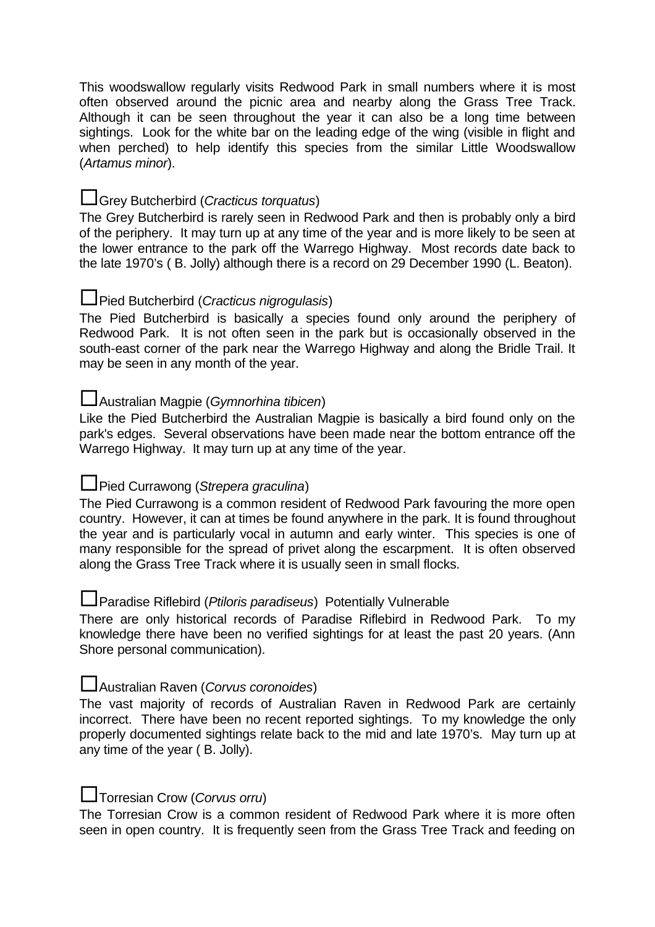This woodswallow regularly visits Redwood Park in small numbers where it is most often observed around the picnic area and nearby along the Grass Tree Track. Although it can be seen throughout the year it can also be a long time between sightings. Look for the white bar on the leading edge of the wing (visible in flight and when perched) to help identify this species from the similar Little Woodswallow (Artamus minor).

## Grey Butcherbird (Cracticus torquatus)

The Grey Butcherbird is rarely seen in Redwood Park and then is probably only a bird of the periphery. It may turn up at any time of the year and is more likely to be seen at the lower entrance to the park off the Warrego Highway. Most records date back to the late 1970's ( B. Jolly) although there is a record on 29 December 1990 (L. Beaton).

## **L** Pied Butcherbird (Cracticus nigrogulasis)

The Pied Butcherbird is basically a species found only around the periphery of Redwood Park. It is not often seen in the park but is occasionally observed in the south-east corner of the park near the Warrego Highway and along the Bridle Trail. It may be seen in any month of the year.

## Australian Magpie (Gymnorhina tibicen)

Like the Pied Butcherbird the Australian Magpie is basically a bird found only on the park's edges. Several observations have been made near the bottom entrance off the Warrego Highway. It may turn up at any time of the year.

## **L**Pied Currawong (Strepera graculina)

The Pied Currawong is a common resident of Redwood Park favouring the more open country. However, it can at times be found anywhere in the park. It is found throughout the year and is particularly vocal in autumn and early winter. This species is one of many responsible for the spread of privet along the escarpment. It is often observed along the Grass Tree Track where it is usually seen in small flocks.

## **Paradise Riflebird (Ptiloris paradiseus) Potentially Vulnerable**

There are only historical records of Paradise Riflebird in Redwood Park. To my knowledge there have been no verified sightings for at least the past 20 years. (Ann Shore personal communication).

## Australian Raven (Corvus coronoides)

The vast majority of records of Australian Raven in Redwood Park are certainly incorrect. There have been no recent reported sightings. To my knowledge the only properly documented sightings relate back to the mid and late 1970's. May turn up at any time of the year ( B. Jolly).

#### **L**Torresian Crow (Corvus orru)

The Torresian Crow is a common resident of Redwood Park where it is more often seen in open country. It is frequently seen from the Grass Tree Track and feeding on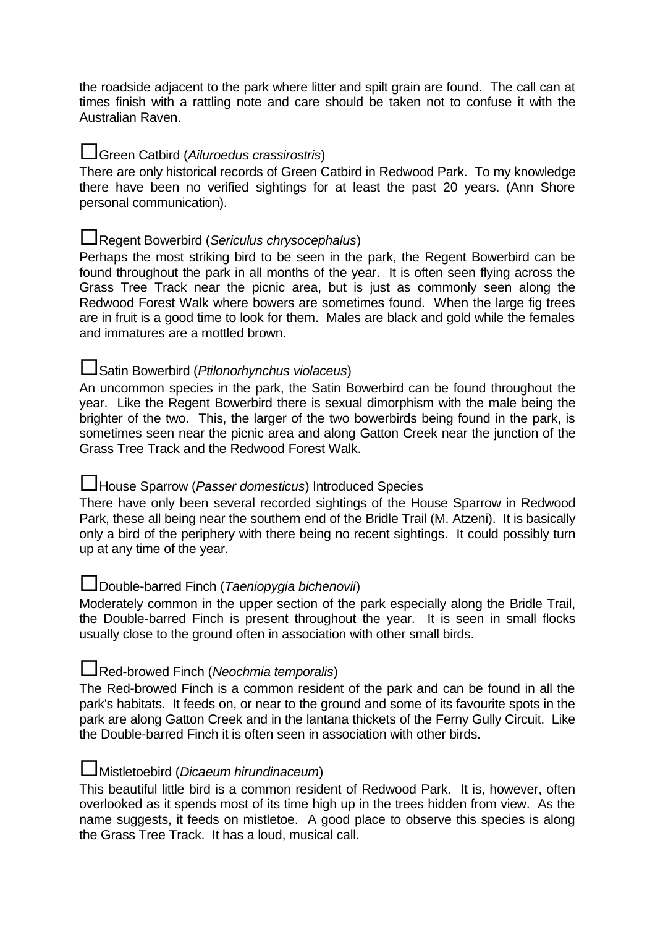the roadside adjacent to the park where litter and spilt grain are found. The call can at times finish with a rattling note and care should be taken not to confuse it with the Australian Raven.

## **L**Green Catbird (Ailuroedus crassirostris)

There are only historical records of Green Catbird in Redwood Park. To my knowledge there have been no verified sightings for at least the past 20 years. (Ann Shore personal communication).

## Regent Bowerbird (Sericulus chrysocephalus)

Perhaps the most striking bird to be seen in the park, the Regent Bowerbird can be found throughout the park in all months of the year. It is often seen flying across the Grass Tree Track near the picnic area, but is just as commonly seen along the Redwood Forest Walk where bowers are sometimes found. When the large fig trees are in fruit is a good time to look for them. Males are black and gold while the females and immatures are a mottled brown.

## Satin Bowerbird (Ptilonorhynchus violaceus)

An uncommon species in the park, the Satin Bowerbird can be found throughout the year. Like the Regent Bowerbird there is sexual dimorphism with the male being the brighter of the two. This, the larger of the two bowerbirds being found in the park, is sometimes seen near the picnic area and along Gatton Creek near the junction of the Grass Tree Track and the Redwood Forest Walk.

## **L**House Sparrow (*Passer domesticus*) Introduced Species

There have only been several recorded sightings of the House Sparrow in Redwood Park, these all being near the southern end of the Bridle Trail (M. Atzeni). It is basically only a bird of the periphery with there being no recent sightings. It could possibly turn up at any time of the year.

#### Double-barred Finch (Taeniopygia bichenovii)

Moderately common in the upper section of the park especially along the Bridle Trail, the Double-barred Finch is present throughout the year. It is seen in small flocks usually close to the ground often in association with other small birds.

## Red-browed Finch (Neochmia temporalis)

The Red-browed Finch is a common resident of the park and can be found in all the park's habitats. It feeds on, or near to the ground and some of its favourite spots in the park are along Gatton Creek and in the lantana thickets of the Ferny Gully Circuit. Like the Double-barred Finch it is often seen in association with other birds.

#### **L**Mistletoebird (*Dicaeum hirundinaceum*)

This beautiful little bird is a common resident of Redwood Park. It is, however, often overlooked as it spends most of its time high up in the trees hidden from view. As the name suggests, it feeds on mistletoe. A good place to observe this species is along the Grass Tree Track. It has a loud, musical call.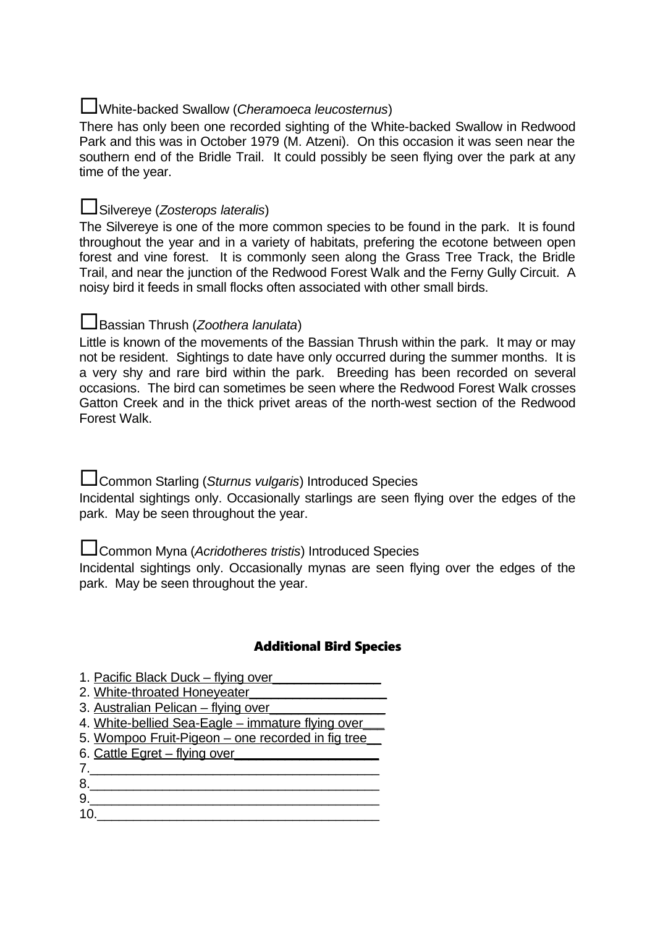## White-backed Swallow (Cheramoeca leucosternus)

There has only been one recorded sighting of the White-backed Swallow in Redwood Park and this was in October 1979 (M. Atzeni). On this occasion it was seen near the southern end of the Bridle Trail. It could possibly be seen flying over the park at any time of the year.

## Silvereye (Zosterops lateralis)

The Silvereye is one of the more common species to be found in the park. It is found throughout the year and in a variety of habitats, prefering the ecotone between open forest and vine forest. It is commonly seen along the Grass Tree Track, the Bridle Trail, and near the junction of the Redwood Forest Walk and the Ferny Gully Circuit. A noisy bird it feeds in small flocks often associated with other small birds.

## Bassian Thrush (Zoothera lanulata)

Little is known of the movements of the Bassian Thrush within the park. It may or may not be resident. Sightings to date have only occurred during the summer months. It is a very shy and rare bird within the park. Breeding has been recorded on several occasions. The bird can sometimes be seen where the Redwood Forest Walk crosses Gatton Creek and in the thick privet areas of the north-west section of the Redwood Forest Walk.

L Common Starling (Sturnus vulgaris) Introduced Species

Incidental sightings only. Occasionally starlings are seen flying over the edges of the park. May be seen throughout the year.

LGommon Myna (Acridotheres tristis) Introduced Species

Incidental sightings only. Occasionally mynas are seen flying over the edges of the park. May be seen throughout the year.

## Additional Bird Species

- 1. Pacific Black Duck flying over
- 2. White-throated Honeveater
- 3. Australian Pelican flying over\_\_\_\_\_\_\_\_\_\_\_\_\_\_\_\_
- 4. White-bellied Sea-Eagle immature flying over\_\_\_
- 5. Wompoo Fruit-Pigeon one recorded in fig tree
- 6. Cattle Egret flying over
- 7.\_\_\_\_\_\_\_\_\_\_\_\_\_\_\_\_\_\_\_\_\_\_\_\_\_\_\_\_\_\_\_\_\_\_\_\_\_\_\_\_
- 8.\_\_\_\_\_\_\_\_\_\_\_\_\_\_\_\_\_\_\_\_\_\_\_\_\_\_\_\_\_\_\_\_\_\_\_\_\_\_\_\_  $9.$
- $10.$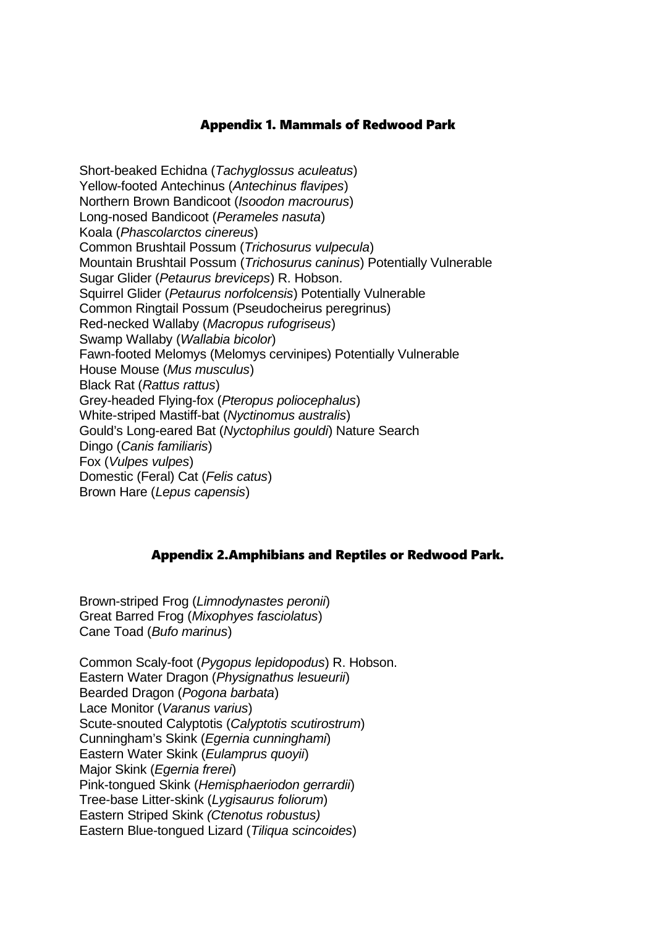#### Appendix 1. Mammals of Redwood Park

Short-beaked Echidna (Tachyglossus aculeatus) Yellow-footed Antechinus (Antechinus flavipes) Northern Brown Bandicoot (Isoodon macrourus) Long-nosed Bandicoot (Perameles nasuta) Koala (Phascolarctos cinereus) Common Brushtail Possum (Trichosurus vulpecula) Mountain Brushtail Possum (Trichosurus caninus) Potentially Vulnerable Sugar Glider (Petaurus breviceps) R. Hobson. Squirrel Glider (Petaurus norfolcensis) Potentially Vulnerable Common Ringtail Possum (Pseudocheirus peregrinus) Red-necked Wallaby (Macropus rufogriseus) Swamp Wallaby (Wallabia bicolor) Fawn-footed Melomys (Melomys cervinipes) Potentially Vulnerable House Mouse (Mus musculus) Black Rat (Rattus rattus) Grey-headed Flying-fox (Pteropus poliocephalus) White-striped Mastiff-bat (Nyctinomus australis) Gould's Long-eared Bat (Nyctophilus gouldi) Nature Search Dingo (Canis familiaris) Fox (Vulpes vulpes) Domestic (Feral) Cat (Felis catus) Brown Hare (Lepus capensis)

#### Appendix 2.Amphibians and Reptiles or Redwood Park.

Brown-striped Frog (Limnodynastes peronii) Great Barred Frog (Mixophyes fasciolatus) Cane Toad (Bufo marinus)

Common Scaly-foot (Pygopus lepidopodus) R. Hobson. Eastern Water Dragon (Physignathus lesueurii) Bearded Dragon (Pogona barbata) Lace Monitor (Varanus varius) Scute-snouted Calyptotis (Calyptotis scutirostrum) Cunningham's Skink (Egernia cunninghami) Eastern Water Skink (Eulamprus quoyii) Major Skink (Egernia frerei) Pink-tongued Skink (Hemisphaeriodon gerrardii) Tree-base Litter-skink (Lygisaurus foliorum) Eastern Striped Skink (Ctenotus robustus) Eastern Blue-tongued Lizard (Tiliqua scincoides)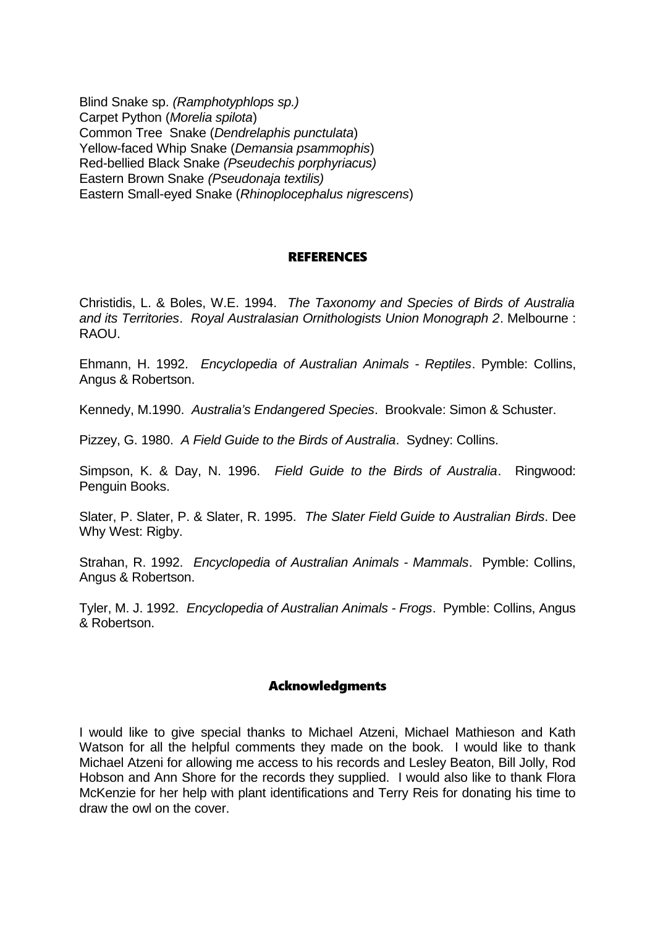Blind Snake sp. (Ramphotyphlops sp.) Carpet Python (Morelia spilota) Common Tree Snake (Dendrelaphis punctulata) Yellow-faced Whip Snake (Demansia psammophis) Red-bellied Black Snake (Pseudechis porphyriacus) Eastern Brown Snake (Pseudonaja textilis) Eastern Small-eyed Snake (Rhinoplocephalus nigrescens)

#### REFERENCES

Christidis, L. & Boles, W.E. 1994. The Taxonomy and Species of Birds of Australia and its Territories. Royal Australasian Ornithologists Union Monograph 2. Melbourne : RAOU.

Ehmann, H. 1992. Encyclopedia of Australian Animals - Reptiles. Pymble: Collins, Angus & Robertson.

Kennedy, M.1990. Australia's Endangered Species. Brookvale: Simon & Schuster.

Pizzey, G. 1980. A Field Guide to the Birds of Australia. Sydney: Collins.

Simpson, K. & Day, N. 1996. Field Guide to the Birds of Australia. Ringwood: Penguin Books.

Slater, P. Slater, P. & Slater, R. 1995. The Slater Field Guide to Australian Birds. Dee Why West: Rigby.

Strahan, R. 1992. Encyclopedia of Australian Animals - Mammals. Pymble: Collins, Angus & Robertson.

Tyler, M. J. 1992. Encyclopedia of Australian Animals - Frogs. Pymble: Collins, Angus & Robertson.

#### Acknowledgments

I would like to give special thanks to Michael Atzeni, Michael Mathieson and Kath Watson for all the helpful comments they made on the book. I would like to thank Michael Atzeni for allowing me access to his records and Lesley Beaton, Bill Jolly, Rod Hobson and Ann Shore for the records they supplied. I would also like to thank Flora McKenzie for her help with plant identifications and Terry Reis for donating his time to draw the owl on the cover.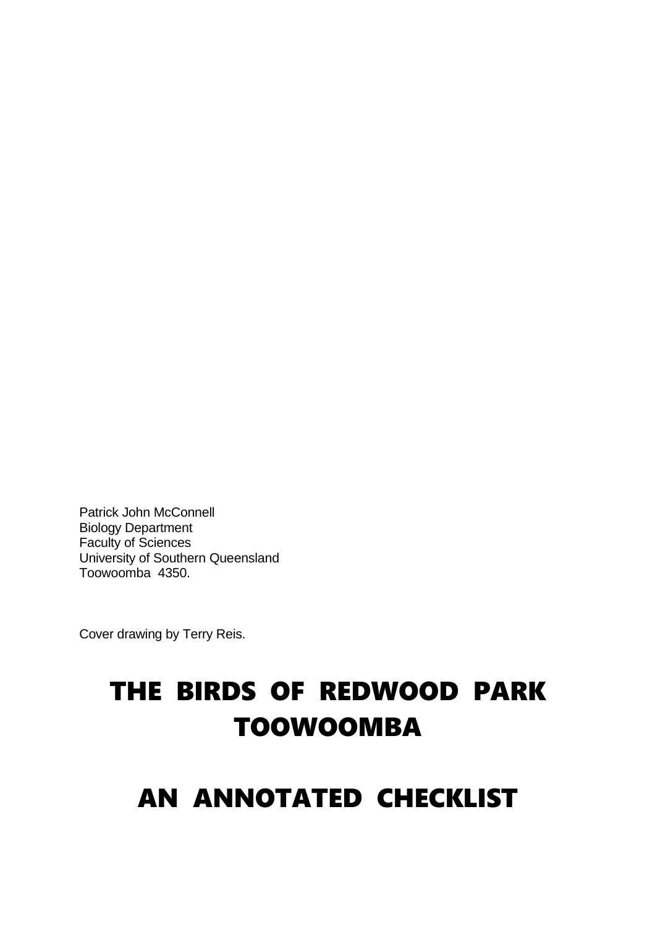Patrick John McConnell Biology Department Faculty of Sciences University of Southern Queensland Toowoomba 4350.

Cover drawing by Terry Reis.

# THE BIRDS OF REDWOOD PARK TOOWOOMBA

## AN ANNOTATED CHECKLIST